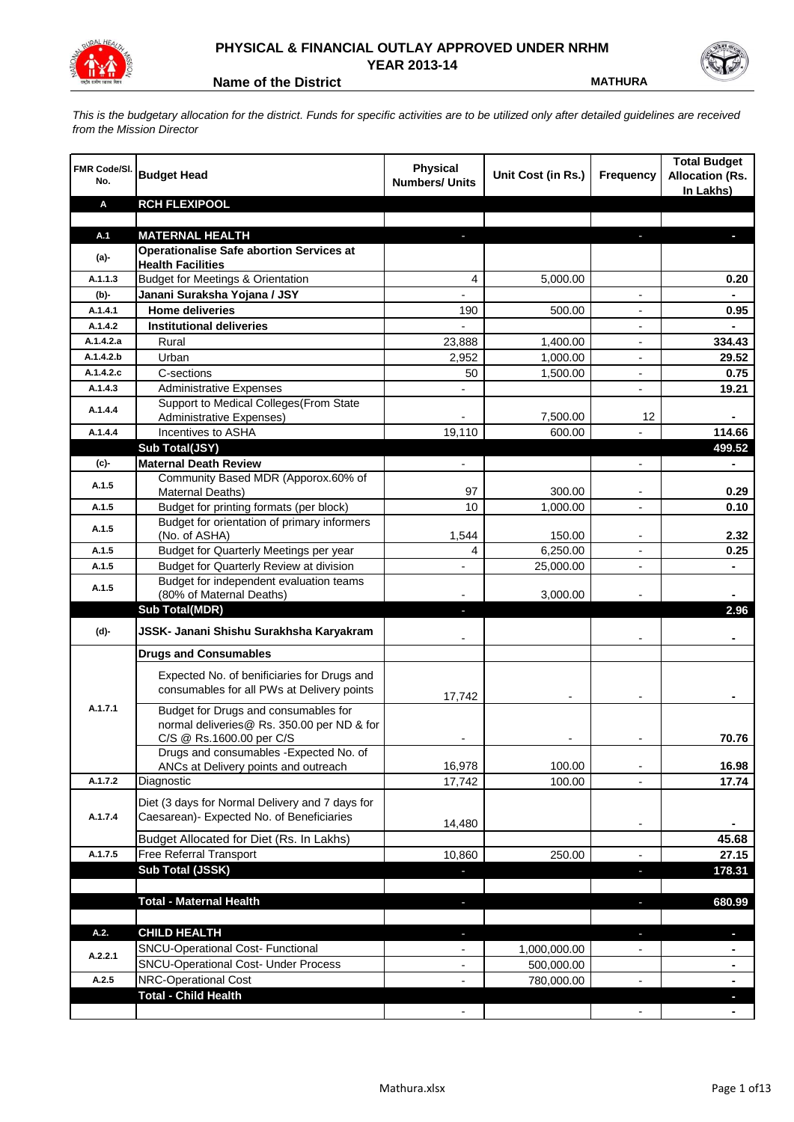

## **PHYSICAL & FINANCIAL OUTLAY APPROVED UNDER NRHM YEAR 2013-14**

**Name of the District MATHURA** 

*This is the budgetary allocation for the district. Funds for specific activities are to be utilized only after detailed guidelines are received from the Mission Director*

| FMR Code/SI.<br>No. | <b>Budget Head</b>                                                       | <b>Physical</b><br><b>Numbers/ Units</b> | Unit Cost (in Rs.) | Frequency                | <b>Total Budget</b><br><b>Allocation (Rs.</b><br>In Lakhs) |
|---------------------|--------------------------------------------------------------------------|------------------------------------------|--------------------|--------------------------|------------------------------------------------------------|
| Α                   | <b>RCH FLEXIPOOL</b>                                                     |                                          |                    |                          |                                                            |
|                     |                                                                          |                                          |                    |                          |                                                            |
| A.1                 | <b>MATERNAL HEALTH</b>                                                   |                                          |                    |                          |                                                            |
| $(a)$ -             | <b>Operationalise Safe abortion Services at</b>                          |                                          |                    |                          |                                                            |
| A.1.1.3             | <b>Health Facilities</b><br><b>Budget for Meetings &amp; Orientation</b> |                                          |                    |                          |                                                            |
|                     |                                                                          | 4                                        | 5,000.00           |                          | 0.20                                                       |
| (b)-<br>A.1.4.1     | Janani Suraksha Yojana / JSY<br><b>Home deliveries</b>                   | $\blacksquare$                           |                    | $\overline{a}$           | 0.95                                                       |
| A.1.4.2             | <b>Institutional deliveries</b>                                          | 190                                      | 500.00             |                          |                                                            |
| A.1.4.2.a           | Rural                                                                    | 23,888                                   | 1,400.00           |                          | 334.43                                                     |
| A.1.4.2.b           | Urban                                                                    | 2,952                                    | 1,000.00           |                          | 29.52                                                      |
| A.1.4.2.c           | C-sections                                                               | 50                                       | 1,500.00           | $\overline{\phantom{0}}$ | 0.75                                                       |
| A.1.4.3             | <b>Administrative Expenses</b>                                           |                                          |                    | $\overline{a}$           | 19.21                                                      |
|                     | Support to Medical Colleges(From State                                   |                                          |                    |                          |                                                            |
| A.1.4.4             | <b>Administrative Expenses)</b>                                          |                                          | 7,500.00           | 12                       |                                                            |
| A.1.4.4             | Incentives to ASHA                                                       | 19,110                                   | 600.00             |                          | 114.66                                                     |
|                     | Sub Total(JSY)                                                           |                                          |                    |                          | 499.52                                                     |
| $(c)$ -             | <b>Maternal Death Review</b>                                             | $\overline{\phantom{a}}$                 |                    | $\overline{\phantom{a}}$ | ۰                                                          |
|                     | Community Based MDR (Apporox.60% of                                      |                                          |                    |                          |                                                            |
| A.1.5               | Maternal Deaths)                                                         | 97                                       | 300.00             | $\overline{\phantom{a}}$ | 0.29                                                       |
| A.1.5               | Budget for printing formats (per block)                                  | 10                                       | 1,000.00           |                          | 0.10                                                       |
| A.1.5               | Budget for orientation of primary informers                              |                                          |                    |                          |                                                            |
|                     | (No. of ASHA)                                                            | 1,544                                    | 150.00             | -                        | 2.32                                                       |
| A.1.5               | Budget for Quarterly Meetings per year                                   | 4                                        | 6,250.00           | -                        | 0.25                                                       |
| A.1.5               | Budget for Quarterly Review at division                                  | $\overline{a}$                           | 25,000.00          |                          |                                                            |
| A.1.5               | Budget for independent evaluation teams<br>(80% of Maternal Deaths)      |                                          | 3,000.00           |                          |                                                            |
|                     | <b>Sub Total(MDR)</b>                                                    | н                                        |                    |                          | 2.96                                                       |
|                     |                                                                          |                                          |                    |                          |                                                            |
| (d)-                | JSSK- Janani Shishu Surakhsha Karyakram                                  |                                          |                    |                          |                                                            |
|                     | <b>Drugs and Consumables</b>                                             |                                          |                    |                          |                                                            |
|                     | Expected No. of benificiaries for Drugs and                              |                                          |                    |                          |                                                            |
|                     | consumables for all PWs at Delivery points                               |                                          |                    |                          |                                                            |
| A.1.7.1             | Budget for Drugs and consumables for                                     | 17,742                                   |                    |                          |                                                            |
|                     | normal deliveries@ Rs. 350.00 per ND & for                               |                                          |                    |                          |                                                            |
|                     | C/S @ Rs.1600.00 per C/S                                                 |                                          |                    |                          | 70.76                                                      |
|                     | Drugs and consumables - Expected No. of                                  |                                          |                    |                          |                                                            |
|                     | ANCs at Delivery points and outreach                                     | 16,978                                   | 100.00             |                          | 16.98                                                      |
| A.1.7.2             | Diagnostic                                                               | 17,742                                   | 100.00             |                          | 17.74                                                      |
|                     | Diet (3 days for Normal Delivery and 7 days for                          |                                          |                    |                          |                                                            |
| A.1.7.4             | Caesarean)- Expected No. of Beneficiaries                                |                                          |                    |                          |                                                            |
|                     | Budget Allocated for Diet (Rs. In Lakhs)                                 | 14,480                                   |                    | $\overline{\phantom{a}}$ |                                                            |
| A.1.7.5             | Free Referral Transport                                                  |                                          |                    |                          | 45.68                                                      |
|                     | Sub Total (JSSK)                                                         | 10,860                                   | 250.00             | -                        | 27.15<br>178.31                                            |
|                     |                                                                          |                                          |                    | ٠                        |                                                            |
|                     | <b>Total - Maternal Health</b>                                           | $\blacksquare$                           |                    | ٠                        | 680.99                                                     |
|                     |                                                                          |                                          |                    |                          |                                                            |
| A.2.                | <b>CHILD HEALTH</b>                                                      |                                          |                    | J,                       | n,                                                         |
|                     | SNCU-Operational Cost- Functional                                        |                                          | 1,000,000.00       |                          |                                                            |
| A.2.2.1             | <b>SNCU-Operational Cost- Under Process</b>                              |                                          | 500,000.00         |                          | ۰                                                          |
| A.2.5               | NRC-Operational Cost                                                     |                                          | 780,000.00         |                          |                                                            |
|                     | <b>Total - Child Health</b>                                              |                                          |                    |                          |                                                            |
|                     |                                                                          |                                          |                    |                          |                                                            |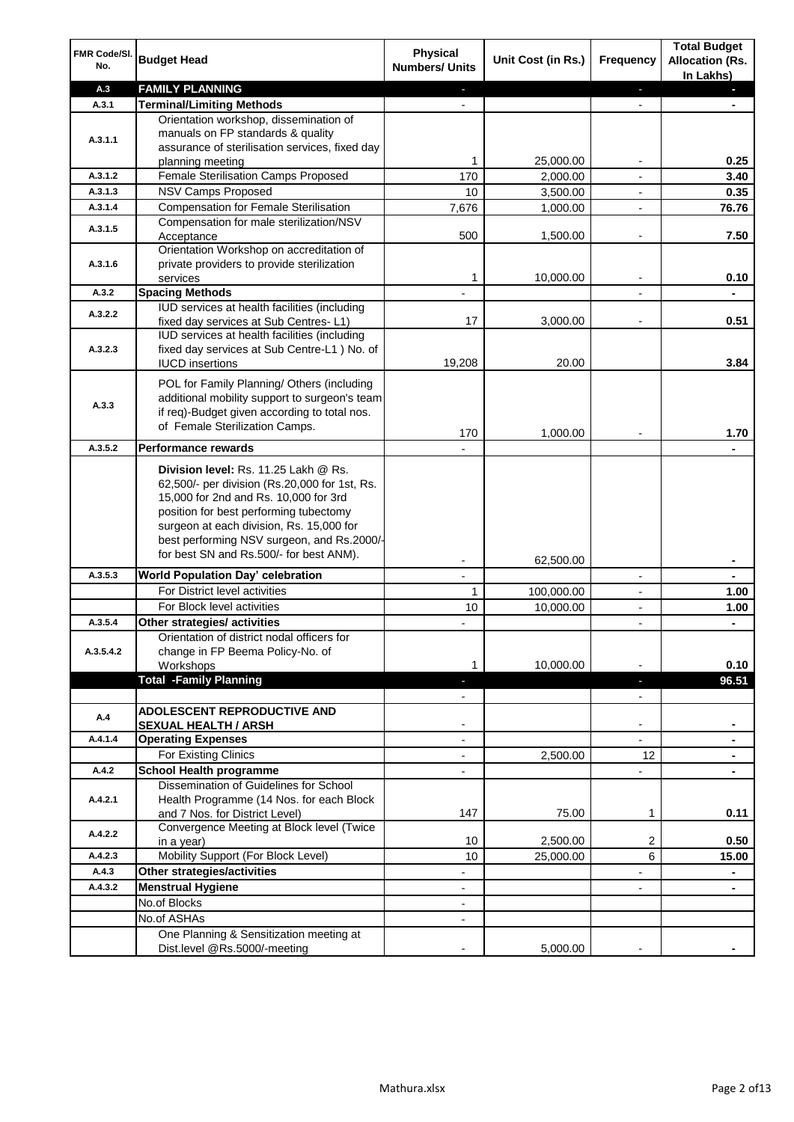| FMR Code/SI.<br>No. | <b>Budget Head</b>                                                                                                                                                                                                                                                                                            | Physical<br><b>Numbers/ Units</b>                    | Unit Cost (in Rs.)      | <b>Frequency</b>              | <b>Total Budget</b><br><b>Allocation (Rs.</b><br>In Lakhs) |
|---------------------|---------------------------------------------------------------------------------------------------------------------------------------------------------------------------------------------------------------------------------------------------------------------------------------------------------------|------------------------------------------------------|-------------------------|-------------------------------|------------------------------------------------------------|
| A.3                 | <b>FAMILY PLANNING</b>                                                                                                                                                                                                                                                                                        | $\sim$                                               |                         | $\blacksquare$                | $\sim$                                                     |
| A.3.1               | <b>Terminal/Limiting Methods</b>                                                                                                                                                                                                                                                                              |                                                      |                         |                               |                                                            |
| A.3.1.1             | Orientation workshop, dissemination of<br>manuals on FP standards & quality<br>assurance of sterilisation services, fixed day<br>planning meeting                                                                                                                                                             | 1                                                    | 25,000.00               | $\overline{\phantom{a}}$      | 0.25                                                       |
| A.3.1.2             | Female Sterilisation Camps Proposed                                                                                                                                                                                                                                                                           | 170                                                  | 2,000.00                |                               | 3.40                                                       |
| A.3.1.3             | <b>NSV Camps Proposed</b>                                                                                                                                                                                                                                                                                     | 10                                                   | 3,500.00                |                               | 0.35                                                       |
| A.3.1.4             | <b>Compensation for Female Sterilisation</b>                                                                                                                                                                                                                                                                  | 7,676                                                | 1,000.00                | $\overline{\phantom{a}}$      | 76.76                                                      |
| A.3.1.5             | Compensation for male sterilization/NSV<br>Acceptance                                                                                                                                                                                                                                                         | 500                                                  | 1,500.00                |                               | 7.50                                                       |
| A.3.1.6             | Orientation Workshop on accreditation of<br>private providers to provide sterilization<br>services                                                                                                                                                                                                            | 1                                                    | 10,000.00               | $\blacksquare$                | 0.10                                                       |
| A.3.2               | <b>Spacing Methods</b>                                                                                                                                                                                                                                                                                        |                                                      |                         |                               | ٠                                                          |
| A.3.2.2             | IUD services at health facilities (including<br>fixed day services at Sub Centres-L1)                                                                                                                                                                                                                         | 17                                                   | 3,000.00                | $\overline{\phantom{a}}$      | 0.51                                                       |
| A.3.2.3             | IUD services at health facilities (including<br>fixed day services at Sub Centre-L1 ) No. of<br><b>IUCD</b> insertions                                                                                                                                                                                        | 19,208                                               | 20.00                   |                               | 3.84                                                       |
| A.3.3               | POL for Family Planning/ Others (including<br>additional mobility support to surgeon's team<br>if req)-Budget given according to total nos.<br>of Female Sterilization Camps.                                                                                                                                 | 170                                                  | 1,000.00                |                               | 1.70                                                       |
| A.3.5.2             | <b>Performance rewards</b>                                                                                                                                                                                                                                                                                    |                                                      |                         |                               |                                                            |
|                     | Division level: Rs. 11.25 Lakh @ Rs.<br>62,500/- per division (Rs.20,000 for 1st, Rs.<br>15,000 for 2nd and Rs. 10,000 for 3rd<br>position for best performing tubectomy<br>surgeon at each division, Rs. 15,000 for<br>best performing NSV surgeon, and Rs.2000/-<br>for best SN and Rs.500/- for best ANM). |                                                      |                         |                               |                                                            |
| A.3.5.3             |                                                                                                                                                                                                                                                                                                               |                                                      | 62,500.00               |                               | ۰                                                          |
|                     | World Population Day' celebration<br>For District level activities                                                                                                                                                                                                                                            | 1                                                    |                         |                               |                                                            |
|                     | For Block level activities                                                                                                                                                                                                                                                                                    | 10                                                   | 100,000.00<br>10,000.00 | $\blacksquare$                | 1.00                                                       |
| A.3.5.4             | Other strategies/ activities                                                                                                                                                                                                                                                                                  |                                                      |                         |                               | 1.00                                                       |
| A.3.5.4.2           | Orientation of district nodal officers for<br>change in FP Beema Policy-No. of<br>Workshops                                                                                                                                                                                                                   | 1                                                    | 10,000.00               |                               | 0.10                                                       |
|                     | <b>Total -Family Planning</b>                                                                                                                                                                                                                                                                                 | $\overline{\phantom{a}}$<br>$\overline{\phantom{a}}$ |                         | ٠<br>$\overline{\phantom{a}}$ | 96.51                                                      |
| A.4                 | ADOLESCENT REPRODUCTIVE AND<br><b>SEXUAL HEALTH / ARSH</b>                                                                                                                                                                                                                                                    |                                                      |                         | $\blacksquare$                |                                                            |
| A.4.1.4             | <b>Operating Expenses</b>                                                                                                                                                                                                                                                                                     |                                                      |                         |                               |                                                            |
|                     | For Existing Clinics                                                                                                                                                                                                                                                                                          | $\blacksquare$                                       | 2,500.00                | 12                            | ۰                                                          |
| A.4.2               | <b>School Health programme</b>                                                                                                                                                                                                                                                                                | $\blacksquare$                                       |                         | $\overline{a}$                |                                                            |
| A.4.2.1             | Dissemination of Guidelines for School<br>Health Programme (14 Nos. for each Block<br>and 7 Nos. for District Level)                                                                                                                                                                                          | 147                                                  | 75.00                   | 1                             | 0.11                                                       |
| A.4.2.2             | Convergence Meeting at Block level (Twice<br>in a year)                                                                                                                                                                                                                                                       | 10                                                   | 2,500.00                | 2                             | 0.50                                                       |
| A.4.2.3             | Mobility Support (For Block Level)                                                                                                                                                                                                                                                                            | 10                                                   | 25,000.00               | 6                             | 15.00                                                      |
| A.4.3               | Other strategies/activities                                                                                                                                                                                                                                                                                   | $\overline{\phantom{0}}$                             |                         | -                             | ۰                                                          |
| A.4.3.2             | <b>Menstrual Hygiene</b>                                                                                                                                                                                                                                                                                      | $\overline{\phantom{a}}$                             |                         | ٠                             | ۰                                                          |
|                     | No.of Blocks                                                                                                                                                                                                                                                                                                  | $\overline{\phantom{a}}$                             |                         |                               |                                                            |
|                     | No.of ASHAs                                                                                                                                                                                                                                                                                                   | $\overline{\phantom{a}}$                             |                         |                               |                                                            |
|                     | One Planning & Sensitization meeting at<br>Dist.level @Rs.5000/-meeting                                                                                                                                                                                                                                       |                                                      | 5,000.00                |                               |                                                            |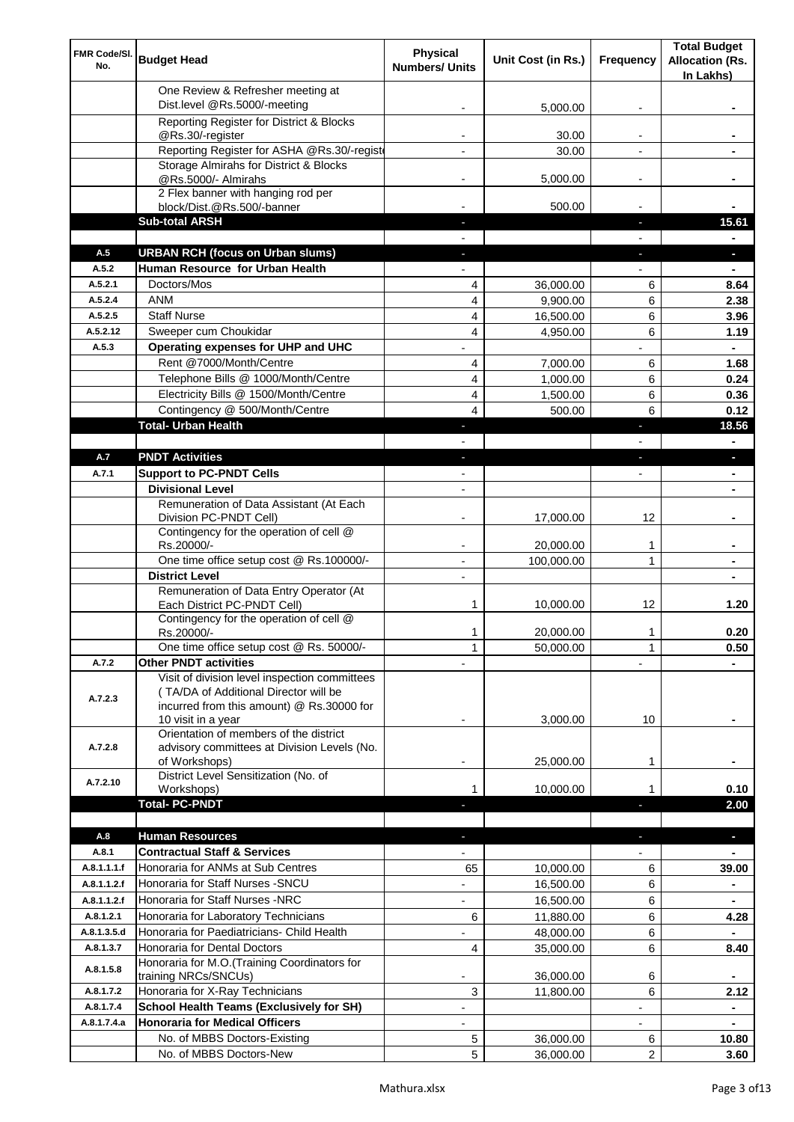| FMR Code/SI.<br>No. | <b>Budget Head</b>                                                                                                                  | <b>Physical</b><br><b>Numbers/ Units</b> | Unit Cost (in Rs.) | Frequency                | <b>Total Budget</b><br><b>Allocation (Rs.</b><br>In Lakhs) |
|---------------------|-------------------------------------------------------------------------------------------------------------------------------------|------------------------------------------|--------------------|--------------------------|------------------------------------------------------------|
|                     | One Review & Refresher meeting at<br>Dist.level @Rs.5000/-meeting                                                                   |                                          | 5,000.00           |                          |                                                            |
|                     | Reporting Register for District & Blocks                                                                                            |                                          |                    |                          |                                                            |
|                     | @Rs.30/-register                                                                                                                    |                                          | 30.00              |                          |                                                            |
|                     | Reporting Register for ASHA @Rs.30/-regist                                                                                          |                                          | 30.00              | $\overline{a}$           |                                                            |
|                     | Storage Almirahs for District & Blocks<br>@Rs.5000/- Almirahs                                                                       | $\blacksquare$                           | 5,000.00           | $\overline{\phantom{a}}$ |                                                            |
|                     | 2 Flex banner with hanging rod per                                                                                                  |                                          |                    |                          |                                                            |
|                     | block/Dist.@Rs.500/-banner                                                                                                          |                                          | 500.00             |                          |                                                            |
|                     | <b>Sub-total ARSH</b>                                                                                                               |                                          |                    | a,                       | 15.61                                                      |
| A.5                 | <b>URBAN RCH (focus on Urban slums)</b>                                                                                             |                                          |                    |                          |                                                            |
| A.5.2               | Human Resource for Urban Health                                                                                                     |                                          |                    |                          |                                                            |
| A.5.2.1             | Doctors/Mos                                                                                                                         | 4                                        | 36,000.00          | 6                        | 8.64                                                       |
| A.5.2.4             | <b>ANM</b>                                                                                                                          | 4                                        | 9.900.00           | 6                        | 2.38                                                       |
| A.5.2.5<br>A.5.2.12 | <b>Staff Nurse</b><br>Sweeper cum Choukidar                                                                                         | 4                                        | 16,500.00          | 6                        | 3.96                                                       |
| A.5.3               | Operating expenses for UHP and UHC                                                                                                  | 4                                        | 4,950.00           | 6                        | 1.19<br>$\blacksquare$                                     |
|                     | Rent @7000/Month/Centre                                                                                                             | 4                                        | 7,000.00           | 6                        | 1.68                                                       |
|                     | Telephone Bills @ 1000/Month/Centre                                                                                                 | 4                                        | 1,000.00           | 6                        | 0.24                                                       |
|                     | Electricity Bills @ 1500/Month/Centre                                                                                               | 4                                        | 1,500.00           | 6                        | 0.36                                                       |
|                     | Contingency @ 500/Month/Centre                                                                                                      | 4                                        | 500.00             | 6                        | 0.12                                                       |
|                     | <b>Total- Urban Health</b>                                                                                                          | J,                                       |                    | F                        | 18.56                                                      |
|                     |                                                                                                                                     |                                          |                    |                          | $\blacksquare$                                             |
| A.7                 | <b>PNDT Activities</b>                                                                                                              | ٠                                        |                    | ×                        | ٠                                                          |
| A.7.1               | <b>Support to PC-PNDT Cells</b>                                                                                                     |                                          |                    | $\overline{\phantom{a}}$ | $\blacksquare$                                             |
|                     | <b>Divisional Level</b>                                                                                                             | $\blacksquare$                           |                    |                          | ٠                                                          |
|                     | Remuneration of Data Assistant (At Each                                                                                             |                                          |                    |                          |                                                            |
|                     | Division PC-PNDT Cell)<br>Contingency for the operation of cell @                                                                   |                                          | 17,000.00          | 12                       |                                                            |
|                     | Rs.20000/-                                                                                                                          |                                          | 20,000.00          | 1                        |                                                            |
|                     | One time office setup cost @ Rs.100000/-                                                                                            |                                          | 100,000.00         | 1                        |                                                            |
|                     | <b>District Level</b>                                                                                                               |                                          |                    |                          |                                                            |
|                     | Remuneration of Data Entry Operator (At<br>Each District PC-PNDT Cell)                                                              | 1                                        | 10,000.00          | 12                       | 1.20                                                       |
|                     | Contingency for the operation of cell @<br>Rs.20000/-                                                                               | 1                                        | 20,000.00          | 1                        | 0.20                                                       |
|                     | One time office setup cost @ Rs. 50000/-                                                                                            | 1                                        | 50,000.00          | 1                        | 0.50                                                       |
| A.7.2               | <b>Other PNDT activities</b>                                                                                                        |                                          |                    |                          |                                                            |
| A.7.2.3             | Visit of division level inspection committees<br>(TA/DA of Additional Director will be<br>incurred from this amount) @ Rs.30000 for |                                          |                    |                          |                                                            |
|                     | 10 visit in a year                                                                                                                  |                                          | 3,000.00           | 10                       |                                                            |
| A.7.2.8             | Orientation of members of the district<br>advisory committees at Division Levels (No.<br>of Workshops)                              | -                                        | 25,000.00          | 1                        |                                                            |
| A.7.2.10            | District Level Sensitization (No. of                                                                                                |                                          |                    |                          |                                                            |
|                     | Workshops)                                                                                                                          | 1                                        | 10,000.00          |                          | 0.10                                                       |
|                     | <b>Total- PC-PNDT</b>                                                                                                               |                                          |                    |                          | 2.00                                                       |
| A.8                 | <b>Human Resources</b>                                                                                                              |                                          |                    |                          | ×.                                                         |
| A.8.1               | <b>Contractual Staff &amp; Services</b>                                                                                             |                                          |                    |                          |                                                            |
| A.8.1.1.1.f         | Honoraria for ANMs at Sub Centres                                                                                                   | 65                                       | 10,000.00          | 6                        | 39.00                                                      |
| A.8.1.1.2.f         | Honoraria for Staff Nurses - SNCU                                                                                                   |                                          | 16,500.00          | 6                        |                                                            |
| A.8.1.1.2.f         | Honoraria for Staff Nurses -NRC                                                                                                     | $\overline{\phantom{a}}$                 | 16,500.00          | 6                        |                                                            |
| A.8.1.2.1           | Honoraria for Laboratory Technicians                                                                                                | 6                                        | 11,880.00          | 6                        | 4.28                                                       |
| A.8.1.3.5.d         | Honoraria for Paediatricians- Child Health                                                                                          |                                          | 48,000.00          | 6                        |                                                            |
| A.8.1.3.7           | Honoraria for Dental Doctors                                                                                                        | 4                                        | 35,000.00          | 6                        | 8.40                                                       |
| A.8.1.5.8           | Honoraria for M.O.(Training Coordinators for<br>training NRCs/SNCUs)                                                                |                                          | 36,000.00          | 6                        |                                                            |
| A.8.1.7.2           | Honoraria for X-Ray Technicians                                                                                                     | 3                                        | 11,800.00          | 6                        | 2.12                                                       |
| A.8.1.7.4           | <b>School Health Teams (Exclusively for SH)</b>                                                                                     |                                          |                    |                          | ٠                                                          |
| A.8.1.7.4.a         | <b>Honoraria for Medical Officers</b>                                                                                               |                                          |                    |                          | Ξ.                                                         |
|                     | No. of MBBS Doctors-Existing                                                                                                        | 5                                        | 36,000.00          | 6                        | 10.80                                                      |
|                     | No. of MBBS Doctors-New                                                                                                             | 5                                        | 36,000.00          | 2                        | 3.60                                                       |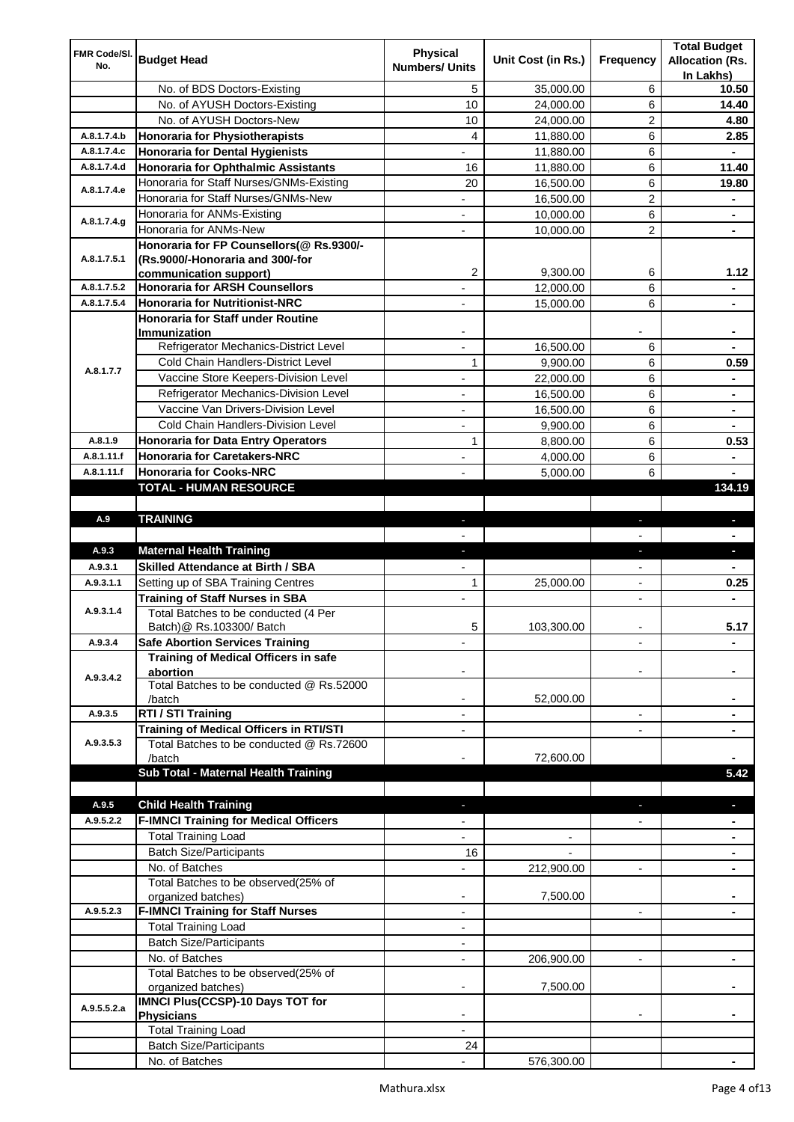| FMR Code/SI. |                                                  | <b>Physical</b>          |                    |                          | <b>Total Budget</b>    |
|--------------|--------------------------------------------------|--------------------------|--------------------|--------------------------|------------------------|
| No.          | <b>Budget Head</b>                               | <b>Numbers/ Units</b>    | Unit Cost (in Rs.) | Frequency                | <b>Allocation (Rs.</b> |
|              |                                                  |                          |                    |                          | In Lakhs)              |
|              | No. of BDS Doctors-Existing                      | 5                        | 35,000.00          | 6                        | 10.50                  |
|              | No. of AYUSH Doctors-Existing                    | 10                       | 24,000.00          | 6                        | 14.40                  |
|              | No. of AYUSH Doctors-New                         | 10                       | 24,000.00          | 2                        | 4.80                   |
| A.8.1.7.4.b  | <b>Honoraria for Physiotherapists</b>            | 4                        | 11,880.00          | 6                        | 2.85                   |
| A.8.1.7.4.c  | <b>Honoraria for Dental Hygienists</b>           |                          | 11,880.00          | 6                        |                        |
| A.8.1.7.4.d  | <b>Honoraria for Ophthalmic Assistants</b>       | 16                       | 11,880.00          | 6                        | 11.40                  |
| A.8.1.7.4.e  | Honoraria for Staff Nurses/GNMs-Existing         | 20                       | 16,500.00          | 6                        | 19.80                  |
|              | Honoraria for Staff Nurses/GNMs-New              | ÷,                       | 16,500.00          | $\overline{c}$           |                        |
| A.8.1.7.4.g  | Honoraria for ANMs-Existing                      |                          | 10,000.00          | 6                        |                        |
|              | Honoraria for ANMs-New                           |                          | 10,000.00          | 2                        |                        |
|              | Honoraria for FP Counsellors(@ Rs.9300/-         |                          |                    |                          |                        |
| A.8.1.7.5.1  | (Rs.9000/-Honoraria and 300/-for                 |                          |                    |                          |                        |
|              | communication support)                           | 2                        | 9,300.00           | 6                        | 1.12                   |
| A.8.1.7.5.2  | <b>Honoraria for ARSH Counsellors</b>            |                          | 12,000.00          | 6                        |                        |
| A.8.1.7.5.4  | <b>Honoraria for Nutritionist-NRC</b>            |                          | 15,000.00          | 6                        |                        |
|              | <b>Honoraria for Staff under Routine</b>         |                          |                    |                          |                        |
|              | Immunization                                     |                          |                    |                          |                        |
|              | Refrigerator Mechanics-District Level            |                          | 16,500.00          | 6                        |                        |
| A.8.1.7.7    | Cold Chain Handlers-District Level               | 1                        | 9,900.00           | 6                        | 0.59                   |
|              | Vaccine Store Keepers-Division Level             |                          | 22,000.00          | 6                        |                        |
|              | Refrigerator Mechanics-Division Level            | $\blacksquare$           | 16,500.00          | 6                        | ۰                      |
|              | Vaccine Van Drivers-Division Level               | ÷,                       | 16,500.00          | 6                        | $\blacksquare$         |
|              | Cold Chain Handlers-Division Level               | $\overline{\phantom{a}}$ | 9,900.00           | 6                        | ۰                      |
| A.8.1.9      | <b>Honoraria for Data Entry Operators</b>        | 1                        | 8,800.00           | 6                        | 0.53                   |
| A.8.1.11.f   | <b>Honoraria for Caretakers-NRC</b>              | $\blacksquare$           | 4,000.00           | 6                        | ٠                      |
| A.8.1.11.f   | <b>Honoraria for Cooks-NRC</b>                   |                          | 5,000.00           | 6                        |                        |
|              | TOTAL - HUMAN RESOURCE                           |                          |                    |                          | 134.19                 |
|              |                                                  |                          |                    |                          |                        |
| A.9          | <b>TRAINING</b>                                  | ٠                        |                    | ٠                        | $\blacksquare$         |
|              |                                                  |                          |                    |                          |                        |
| A.9.3        | <b>Maternal Health Training</b>                  | ٠                        |                    | ٠                        | ٠                      |
| A.9.3.1      | <b>Skilled Attendance at Birth / SBA</b>         |                          |                    |                          |                        |
| A.9.3.1.1    | Setting up of SBA Training Centres               | 1                        | 25,000.00          | $\overline{\phantom{a}}$ | 0.25                   |
|              | <b>Training of Staff Nurses in SBA</b>           | $\overline{\phantom{a}}$ |                    | $\overline{a}$           |                        |
| A.9.3.1.4    | Total Batches to be conducted (4 Per             |                          |                    |                          |                        |
|              | Batch) @ Rs.103300/ Batch                        | 5                        | 103,300.00         |                          | 5.17                   |
| A.9.3.4      | <b>Safe Abortion Services Training</b>           |                          |                    |                          |                        |
|              | <b>Training of Medical Officers in safe</b>      |                          |                    |                          |                        |
| A.9.3.4.2    | abortion                                         |                          |                    |                          |                        |
|              | Total Batches to be conducted @ Rs.52000         |                          |                    |                          |                        |
|              | /batch                                           |                          | 52,000.00          |                          |                        |
| A.9.3.5      | RTI / STI Training                               |                          |                    | $\overline{a}$           |                        |
|              | Training of Medical Officers in RTI/STI          |                          |                    |                          |                        |
| A.9.3.5.3    | Total Batches to be conducted @ Rs.72600         |                          |                    |                          |                        |
|              | /batch                                           |                          | 72,600.00          |                          |                        |
|              | Sub Total - Maternal Health Training             |                          |                    |                          | 5.42                   |
|              |                                                  |                          |                    |                          |                        |
| A.9.5        | <b>Child Health Training</b>                     |                          |                    |                          |                        |
| A.9.5.2.2    | <b>F-IMNCI Training for Medical Officers</b>     |                          |                    |                          |                        |
|              | <b>Total Training Load</b>                       |                          |                    |                          |                        |
|              | <b>Batch Size/Participants</b>                   | 16                       |                    |                          |                        |
|              | No. of Batches                                   |                          | 212,900.00         | $\overline{a}$           |                        |
|              | Total Batches to be observed(25% of              |                          |                    |                          |                        |
|              | organized batches)                               | $\overline{\phantom{a}}$ | 7,500.00           |                          |                        |
| A.9.5.2.3    | <b>F-IMNCI Training for Staff Nurses</b>         | $\overline{\phantom{a}}$ |                    | $\overline{\phantom{a}}$ | ۰                      |
|              | <b>Total Training Load</b>                       | $\overline{\phantom{a}}$ |                    |                          |                        |
|              | <b>Batch Size/Participants</b>                   |                          |                    |                          |                        |
|              | No. of Batches                                   |                          | 206,900.00         | $\overline{\phantom{a}}$ | ۰                      |
|              | Total Batches to be observed(25% of              |                          |                    |                          |                        |
|              | organized batches)                               |                          | 7,500.00           |                          |                        |
| A.9.5.5.2.a  |                                                  |                          |                    |                          |                        |
|              | IMNCI Plus(CCSP)-10 Days TOT for                 |                          |                    |                          |                        |
|              | <b>Physicians</b>                                |                          |                    |                          |                        |
|              | <b>Total Training Load</b>                       |                          |                    |                          |                        |
|              | <b>Batch Size/Participants</b><br>No. of Batches | 24                       |                    |                          |                        |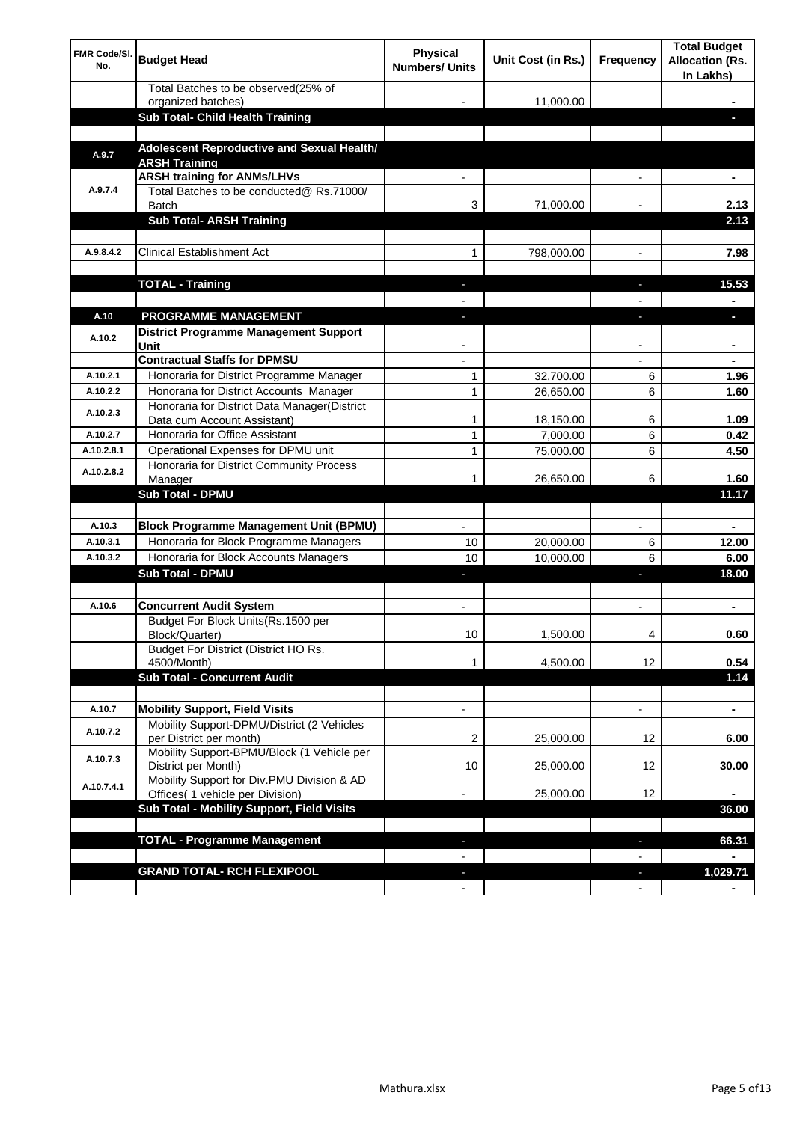| <b>FMR Code/SI.</b><br>No. | <b>Budget Head</b>                                                             | Physical<br><b>Numbers/ Units</b> | Unit Cost (in Rs.) | Frequency                      | <b>Total Budget</b><br><b>Allocation (Rs.</b><br>In Lakhs) |
|----------------------------|--------------------------------------------------------------------------------|-----------------------------------|--------------------|--------------------------------|------------------------------------------------------------|
|                            | Total Batches to be observed(25% of                                            |                                   |                    |                                |                                                            |
|                            | organized batches)<br>Sub Total- Child Health Training                         |                                   | 11,000.00          |                                |                                                            |
|                            |                                                                                |                                   |                    |                                |                                                            |
| A.9.7                      | Adolescent Reproductive and Sexual Health/<br><b>ARSH Training</b>             |                                   |                    |                                |                                                            |
|                            | <b>ARSH training for ANMs/LHVs</b>                                             |                                   |                    |                                |                                                            |
| A.9.7.4                    | Total Batches to be conducted@ Rs.71000/<br><b>Batch</b>                       | 3                                 | 71,000.00          |                                | 2.13                                                       |
|                            | <b>Sub Total- ARSH Training</b>                                                |                                   |                    |                                | 2.13                                                       |
|                            |                                                                                |                                   |                    |                                |                                                            |
| A.9.8.4.2                  | <b>Clinical Establishment Act</b>                                              | 1                                 | 798,000.00         |                                | 7.98                                                       |
|                            | <b>TOTAL - Training</b>                                                        |                                   |                    |                                | 15.53                                                      |
|                            |                                                                                |                                   |                    |                                |                                                            |
| A.10                       | <b>PROGRAMME MANAGEMENT</b>                                                    |                                   |                    |                                |                                                            |
| A.10.2                     | District Programme Management Support<br>Unit                                  |                                   |                    |                                |                                                            |
|                            | <b>Contractual Staffs for DPMSU</b>                                            |                                   |                    |                                |                                                            |
| A.10.2.1                   | Honoraria for District Programme Manager                                       | 1                                 | 32,700.00          | 6                              | 1.96                                                       |
| A.10.2.2                   | Honoraria for District Accounts Manager                                        | 1                                 | 26,650.00          | 6                              | 1.60                                                       |
| A.10.2.3                   | Honoraria for District Data Manager(District<br>Data cum Account Assistant)    | 1                                 | 18,150.00          | 6                              | 1.09                                                       |
| A.10.2.7                   | Honoraria for Office Assistant                                                 | 1                                 | 7,000.00           | 6                              | 0.42                                                       |
| A.10.2.8.1                 | Operational Expenses for DPMU unit                                             | 1                                 | 75,000.00          | 6                              | 4.50                                                       |
| A.10.2.8.2                 | Honoraria for District Community Process                                       | 1                                 | 26,650.00          | 6                              | 1.60                                                       |
|                            | Manager<br><b>Sub Total - DPMU</b>                                             |                                   |                    |                                | 11.17                                                      |
|                            |                                                                                |                                   |                    |                                |                                                            |
| A.10.3                     | <b>Block Programme Management Unit (BPMU)</b>                                  | $\blacksquare$                    |                    | $\overline{\phantom{a}}$       | $\blacksquare$                                             |
| A.10.3.1                   | Honoraria for Block Programme Managers                                         | 10                                | 20,000.00          | 6                              | 12.00                                                      |
| A.10.3.2                   | Honoraria for Block Accounts Managers                                          | 10                                | 10,000.00          | 6                              | 6.00                                                       |
|                            | <b>Sub Total - DPMU</b>                                                        | ٠                                 |                    | J,                             | 18.00                                                      |
|                            |                                                                                |                                   |                    |                                |                                                            |
| A.10.6                     | <b>Concurrent Audit System</b>                                                 | $\blacksquare$                    |                    | $\blacksquare$                 | ۰                                                          |
|                            | Budget For Block Units(Rs.1500 per<br>Block/Quarter)                           | 10                                | 1,500.00           | 4                              | 0.60                                                       |
|                            | Budget For District (District HO Rs.<br>4500/Month)                            | 1                                 | 4,500.00           | 12                             | 0.54                                                       |
|                            | <b>Sub Total - Concurrent Audit</b>                                            |                                   |                    |                                | 1.14                                                       |
|                            |                                                                                |                                   |                    |                                |                                                            |
| A.10.7                     | <b>Mobility Support, Field Visits</b>                                          | $\overline{\phantom{a}}$          |                    | $\overline{\phantom{a}}$       | ۰                                                          |
| A.10.7.2                   | Mobility Support-DPMU/District (2 Vehicles<br>per District per month)          | 2                                 | 25,000.00          | 12                             | 6.00                                                       |
| A.10.7.3                   | Mobility Support-BPMU/Block (1 Vehicle per<br>District per Month)              | 10                                | 25,000.00          | 12                             | 30.00                                                      |
| A.10.7.4.1                 | Mobility Support for Div.PMU Division & AD<br>Offices( 1 vehicle per Division) |                                   | 25,000.00          | 12                             |                                                            |
|                            | Sub Total - Mobility Support, Field Visits                                     |                                   |                    |                                | 36.00                                                      |
|                            |                                                                                |                                   |                    |                                |                                                            |
|                            | <b>TOTAL - Programme Management</b>                                            |                                   |                    | ı                              | 66.31                                                      |
|                            |                                                                                |                                   |                    |                                |                                                            |
|                            | <b>GRAND TOTAL- RCH FLEXIPOOL</b>                                              | ٠<br>$\blacksquare$               |                    | H,<br>$\overline{\phantom{a}}$ | 1,029.71                                                   |
|                            |                                                                                |                                   |                    |                                |                                                            |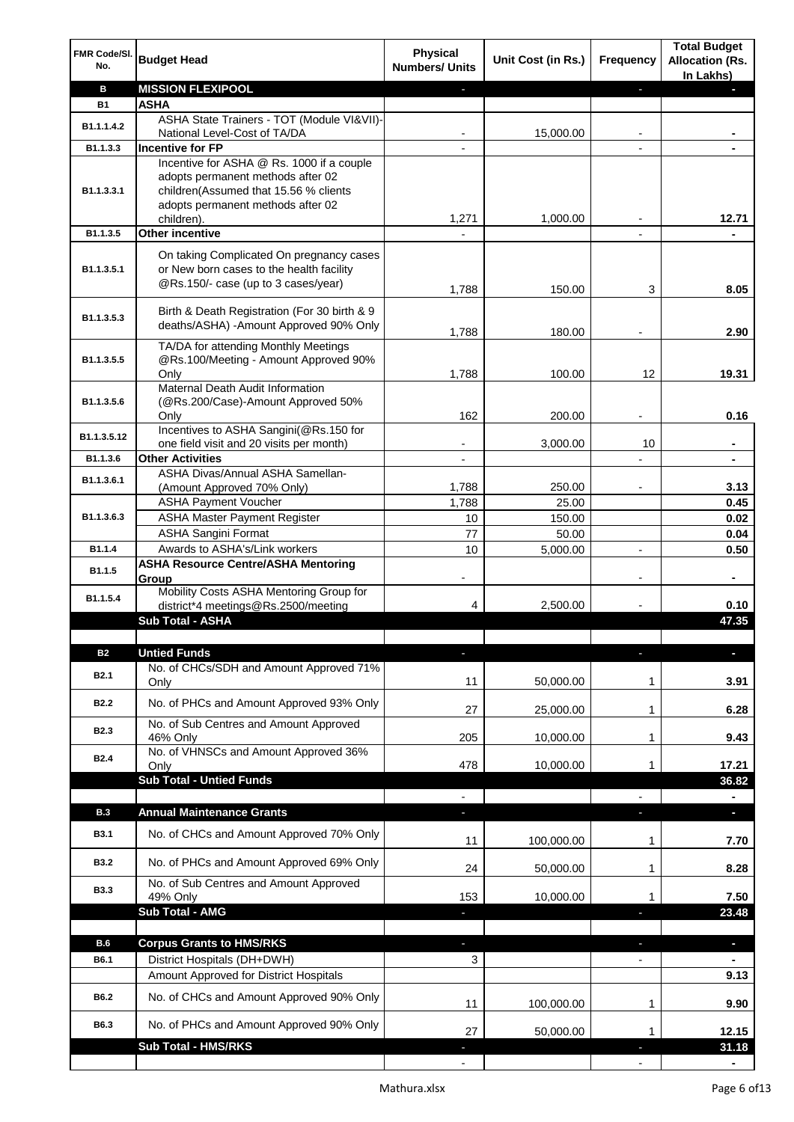| FMR Code/SI.<br>No.     | <b>Budget Head</b>                                                                                                            | <b>Physical</b><br><b>Numbers/ Units</b> | Unit Cost (in Rs.) | Frequency      | <b>Total Budget</b><br><b>Allocation (Rs.</b><br>In Lakhs) |
|-------------------------|-------------------------------------------------------------------------------------------------------------------------------|------------------------------------------|--------------------|----------------|------------------------------------------------------------|
| В                       | <b>MISSION FLEXIPOOL</b>                                                                                                      |                                          |                    | J              |                                                            |
| <b>B1</b>               | <b>ASHA</b>                                                                                                                   |                                          |                    |                |                                                            |
| B <sub>1.1</sub> .1.4.2 | ASHA State Trainers - TOT (Module VI&VII)-                                                                                    |                                          |                    |                |                                                            |
| B1.1.3.3                | National Level-Cost of TA/DA<br><b>Incentive for FP</b>                                                                       |                                          | 15,000.00          |                |                                                            |
|                         | Incentive for ASHA @ Rs. 1000 if a couple                                                                                     |                                          |                    |                |                                                            |
| B1.1.3.3.1              | adopts permanent methods after 02<br>children(Assumed that 15.56 % clients<br>adopts permanent methods after 02<br>children). | 1,271                                    | 1,000.00           |                | 12.71                                                      |
| B1.1.3.5                | <b>Other incentive</b>                                                                                                        |                                          |                    | $\overline{a}$ |                                                            |
|                         |                                                                                                                               |                                          |                    |                |                                                            |
| B1.1.3.5.1              | On taking Complicated On pregnancy cases<br>or New born cases to the health facility<br>@Rs.150/- case (up to 3 cases/year)   | 1,788                                    | 150.00             | 3              | 8.05                                                       |
| B1.1.3.5.3              | Birth & Death Registration (For 30 birth & 9<br>deaths/ASHA) -Amount Approved 90% Only                                        | 1,788                                    | 180.00             |                | 2.90                                                       |
|                         | TA/DA for attending Monthly Meetings                                                                                          |                                          |                    |                |                                                            |
| B1.1.3.5.5              | @Rs.100/Meeting - Amount Approved 90%                                                                                         |                                          |                    |                |                                                            |
|                         | Only                                                                                                                          | 1,788                                    | 100.00             | 12             | 19.31                                                      |
| B1.1.3.5.6              | Maternal Death Audit Information<br>(@Rs.200/Case)-Amount Approved 50%                                                        |                                          |                    |                |                                                            |
|                         | Only                                                                                                                          | 162                                      | 200.00             |                | 0.16                                                       |
|                         | Incentives to ASHA Sangini(@Rs.150 for                                                                                        |                                          |                    |                |                                                            |
| B1.1.3.5.12             | one field visit and 20 visits per month)                                                                                      |                                          | 3,000.00           | 10             | $\blacksquare$                                             |
| B1.1.3.6                | <b>Other Activities</b>                                                                                                       | $\overline{\phantom{a}}$                 |                    |                | $\blacksquare$                                             |
| B1.1.3.6.1              | ASHA Divas/Annual ASHA Samellan-                                                                                              |                                          |                    |                |                                                            |
|                         | (Amount Approved 70% Only)                                                                                                    | 1,788                                    | 250.00             |                | 3.13                                                       |
| B1.1.3.6.3              | <b>ASHA Payment Voucher</b>                                                                                                   | 1,788                                    | 25.00              |                | 0.45                                                       |
|                         | <b>ASHA Master Payment Register</b><br><b>ASHA Sangini Format</b>                                                             | 10<br>77                                 | 150.00             |                | 0.02                                                       |
| B1.1.4                  | Awards to ASHA's/Link workers                                                                                                 | 10                                       | 50.00<br>5,000.00  |                | 0.04<br>0.50                                               |
|                         | <b>ASHA Resource Centre/ASHA Mentoring</b>                                                                                    |                                          |                    |                |                                                            |
| B1.1.5                  | Group                                                                                                                         | -                                        |                    | $\overline{a}$ | $\blacksquare$                                             |
| B1.1.5.4                | Mobility Costs ASHA Mentoring Group for<br>district*4 meetings@Rs.2500/meeting                                                | 4                                        | 2,500.00           |                | 0.10                                                       |
|                         | Sub Total - ASHA                                                                                                              |                                          |                    |                | 47.35                                                      |
|                         |                                                                                                                               |                                          |                    |                |                                                            |
| <b>B2</b>               | <b>Untied Funds</b>                                                                                                           |                                          |                    |                |                                                            |
| <b>B2.1</b>             | No. of CHCs/SDH and Amount Approved 71%<br>Only                                                                               | 11                                       | 50,000.00          | 1              | 3.91                                                       |
| <b>B2.2</b>             | No. of PHCs and Amount Approved 93% Only                                                                                      | 27                                       | 25,000.00          | 1              | 6.28                                                       |
| <b>B2.3</b>             | No. of Sub Centres and Amount Approved                                                                                        |                                          |                    |                |                                                            |
|                         | 46% Only                                                                                                                      | 205                                      | 10,000.00          | 1              | 9.43                                                       |
| B <sub>2.4</sub>        | No. of VHNSCs and Amount Approved 36%<br>Only                                                                                 | 478                                      | 10,000.00          | 1              | 17.21                                                      |
|                         | <b>Sub Total - Untied Funds</b>                                                                                               |                                          |                    |                | 36.82                                                      |
|                         |                                                                                                                               |                                          |                    |                |                                                            |
| <b>B.3</b>              | <b>Annual Maintenance Grants</b>                                                                                              | a,                                       |                    |                | $\overline{\phantom{a}}$                                   |
| <b>B3.1</b>             | No. of CHCs and Amount Approved 70% Only                                                                                      | 11                                       | 100,000.00         | 1              | 7.70                                                       |
| <b>B3.2</b>             | No. of PHCs and Amount Approved 69% Only                                                                                      | 24                                       | 50,000.00          | 1              | 8.28                                                       |
| <b>B3.3</b>             | No. of Sub Centres and Amount Approved<br>49% Only                                                                            | 153                                      | 10,000.00          | 1              | 7.50                                                       |
|                         | Sub Total - AMG                                                                                                               | J,                                       |                    |                | 23.48                                                      |
|                         |                                                                                                                               |                                          |                    |                |                                                            |
| <b>B.6</b>              | <b>Corpus Grants to HMS/RKS</b>                                                                                               | $\blacksquare$                           |                    | T              | ٠                                                          |
| B6.1                    | District Hospitals (DH+DWH)                                                                                                   | 3                                        |                    |                |                                                            |
|                         | Amount Approved for District Hospitals                                                                                        |                                          |                    |                | 9.13                                                       |
| B6.2                    | No. of CHCs and Amount Approved 90% Only                                                                                      | 11                                       | 100,000.00         | $\mathbf 1$    | 9.90                                                       |
| B6.3                    | No. of PHCs and Amount Approved 90% Only<br><b>Sub Total - HMS/RKS</b>                                                        | 27                                       | 50,000.00          | 1              | 12.15                                                      |
|                         |                                                                                                                               |                                          |                    |                | 31.18                                                      |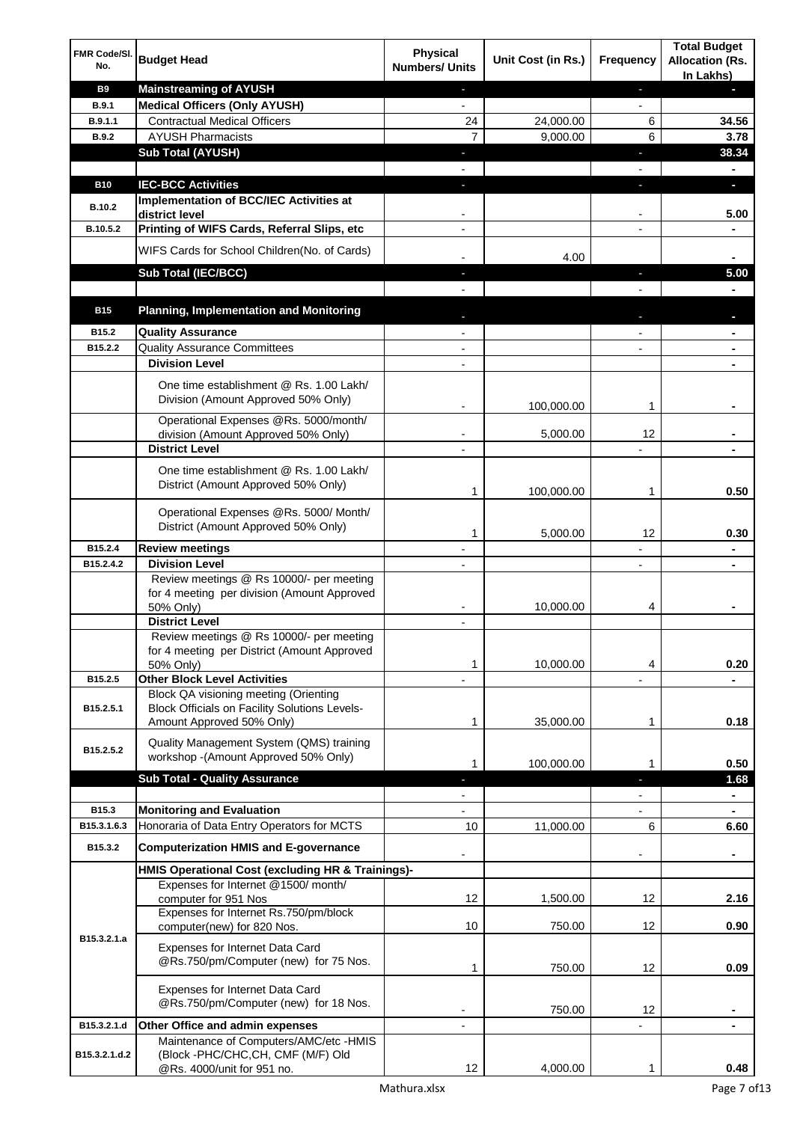| FMR Code/SI.<br>No.  | <b>Budget Head</b>                                                                      | <b>Physical</b><br><b>Numbers/ Units</b> | Unit Cost (in Rs.) | <b>Frequency</b>         | <b>Total Budget</b><br><b>Allocation (Rs.</b> |
|----------------------|-----------------------------------------------------------------------------------------|------------------------------------------|--------------------|--------------------------|-----------------------------------------------|
| <b>B9</b>            | <b>Mainstreaming of AYUSH</b>                                                           | $\blacksquare$                           |                    | ٠                        | In Lakhs)<br>н                                |
| <b>B.9.1</b>         | <b>Medical Officers (Only AYUSH)</b>                                                    | $\overline{\phantom{a}}$                 |                    | $\overline{\phantom{a}}$ |                                               |
| B.9.1.1              | <b>Contractual Medical Officers</b>                                                     | 24                                       | 24,000.00          | 6                        | 34.56                                         |
| <b>B.9.2</b>         | <b>AYUSH Pharmacists</b>                                                                | $\overline{7}$                           | 9,000.00           | 6                        | 3.78                                          |
|                      | <b>Sub Total (AYUSH)</b>                                                                | ٠                                        |                    | J,                       | 38.34                                         |
|                      |                                                                                         |                                          |                    |                          |                                               |
| <b>B10</b>           | <b>IEC-BCC Activities</b>                                                               | $\blacksquare$                           |                    | J,                       | O.                                            |
| <b>B.10.2</b>        | Implementation of BCC/IEC Activities at<br>district level                               |                                          |                    |                          | 5.00                                          |
| B.10.5.2             | Printing of WIFS Cards, Referral Slips, etc                                             |                                          |                    |                          |                                               |
|                      | WIFS Cards for School Children(No. of Cards)                                            |                                          |                    |                          |                                               |
|                      |                                                                                         |                                          | 4.00               |                          |                                               |
|                      | Sub Total (IEC/BCC)                                                                     | $\blacksquare$                           |                    | ÷.                       | 5.00                                          |
|                      |                                                                                         |                                          |                    |                          |                                               |
| <b>B15</b>           | <b>Planning, Implementation and Monitoring</b>                                          |                                          |                    |                          |                                               |
| B <sub>15.2</sub>    | <b>Quality Assurance</b>                                                                |                                          |                    |                          |                                               |
| B15.2.2              | <b>Quality Assurance Committees</b>                                                     |                                          |                    |                          |                                               |
|                      | <b>Division Level</b>                                                                   |                                          |                    |                          |                                               |
|                      | One time establishment @ Rs. 1.00 Lakh/                                                 |                                          |                    |                          |                                               |
|                      | Division (Amount Approved 50% Only)                                                     |                                          | 100,000.00         | 1                        |                                               |
|                      | Operational Expenses @Rs. 5000/month/                                                   |                                          |                    |                          |                                               |
|                      | division (Amount Approved 50% Only)<br><b>District Level</b>                            |                                          | 5,000.00           | 12                       |                                               |
|                      |                                                                                         |                                          |                    |                          |                                               |
|                      | One time establishment @ Rs. 1.00 Lakh/<br>District (Amount Approved 50% Only)          |                                          |                    |                          |                                               |
|                      |                                                                                         | 1                                        | 100,000.00         | 1                        | 0.50                                          |
|                      | Operational Expenses @Rs. 5000/ Month/                                                  |                                          |                    |                          |                                               |
|                      | District (Amount Approved 50% Only)                                                     | 1                                        | 5,000.00           | 12                       | 0.30                                          |
| B15.2.4              | <b>Review meetings</b>                                                                  |                                          |                    |                          | ۰                                             |
| B15.2.4.2            | <b>Division Level</b>                                                                   |                                          |                    |                          |                                               |
|                      | Review meetings @ Rs 10000/- per meeting<br>for 4 meeting per division (Amount Approved |                                          |                    |                          |                                               |
|                      | 50% Only)                                                                               |                                          | 10,000.00          | 4                        |                                               |
|                      | <b>District Level</b>                                                                   |                                          |                    |                          |                                               |
|                      | Review meetings @ Rs 10000/- per meeting                                                |                                          |                    |                          |                                               |
|                      | for 4 meeting per District (Amount Approved                                             | 1                                        | 10,000.00          | 4                        | 0.20                                          |
| B15.2.5              | 50% Only)<br><b>Other Block Level Activities</b>                                        |                                          |                    |                          |                                               |
|                      | Block QA visioning meeting (Orienting                                                   |                                          |                    |                          |                                               |
| B15.2.5.1            | <b>Block Officials on Facility Solutions Levels-</b>                                    |                                          |                    |                          |                                               |
|                      | Amount Approved 50% Only)                                                               | 1                                        | 35,000.00          | 1                        | 0.18                                          |
| B15.2.5.2            | Quality Management System (QMS) training                                                |                                          |                    |                          |                                               |
|                      | workshop - (Amount Approved 50% Only)                                                   | 1                                        | 100,000.00         | 1                        | 0.50                                          |
|                      | <b>Sub Total - Quality Assurance</b>                                                    | L                                        |                    | J.                       | 1.68                                          |
|                      |                                                                                         |                                          |                    |                          | $\blacksquare$                                |
| B15.3<br>B15.3.1.6.3 | <b>Monitoring and Evaluation</b><br>Honoraria of Data Entry Operators for MCTS          | 10                                       |                    |                          | $\blacksquare$                                |
|                      |                                                                                         |                                          | 11,000.00          | 6                        | 6.60                                          |
| B15.3.2              | <b>Computerization HMIS and E-governance</b>                                            |                                          |                    |                          |                                               |
|                      | HMIS Operational Cost (excluding HR & Trainings)-                                       |                                          |                    |                          |                                               |
|                      | Expenses for Internet @1500/month/                                                      | 12                                       |                    | 12                       |                                               |
|                      | computer for 951 Nos<br>Expenses for Internet Rs.750/pm/block                           |                                          | 1,500.00           |                          | 2.16                                          |
|                      | computer(new) for 820 Nos.                                                              | 10                                       | 750.00             | 12                       | 0.90                                          |
| B15.3.2.1.a          | Expenses for Internet Data Card                                                         |                                          |                    |                          |                                               |
|                      | @Rs.750/pm/Computer (new) for 75 Nos.                                                   | 1                                        | 750.00             | 12                       | 0.09                                          |
|                      |                                                                                         |                                          |                    |                          |                                               |
|                      | Expenses for Internet Data Card<br>@Rs.750/pm/Computer (new) for 18 Nos.                |                                          |                    |                          |                                               |
|                      |                                                                                         |                                          | 750.00             | 12                       | ۰                                             |
| B15.3.2.1.d          | Other Office and admin expenses<br>Maintenance of Computers/AMC/etc -HMIS               | $\overline{a}$                           |                    |                          |                                               |
| B15.3.2.1.d.2        | (Block -PHC/CHC, CH, CMF (M/F) Old                                                      |                                          |                    |                          |                                               |
|                      | @Rs. 4000/unit for 951 no.                                                              | 12                                       | 4,000.00           | 1                        | 0.48                                          |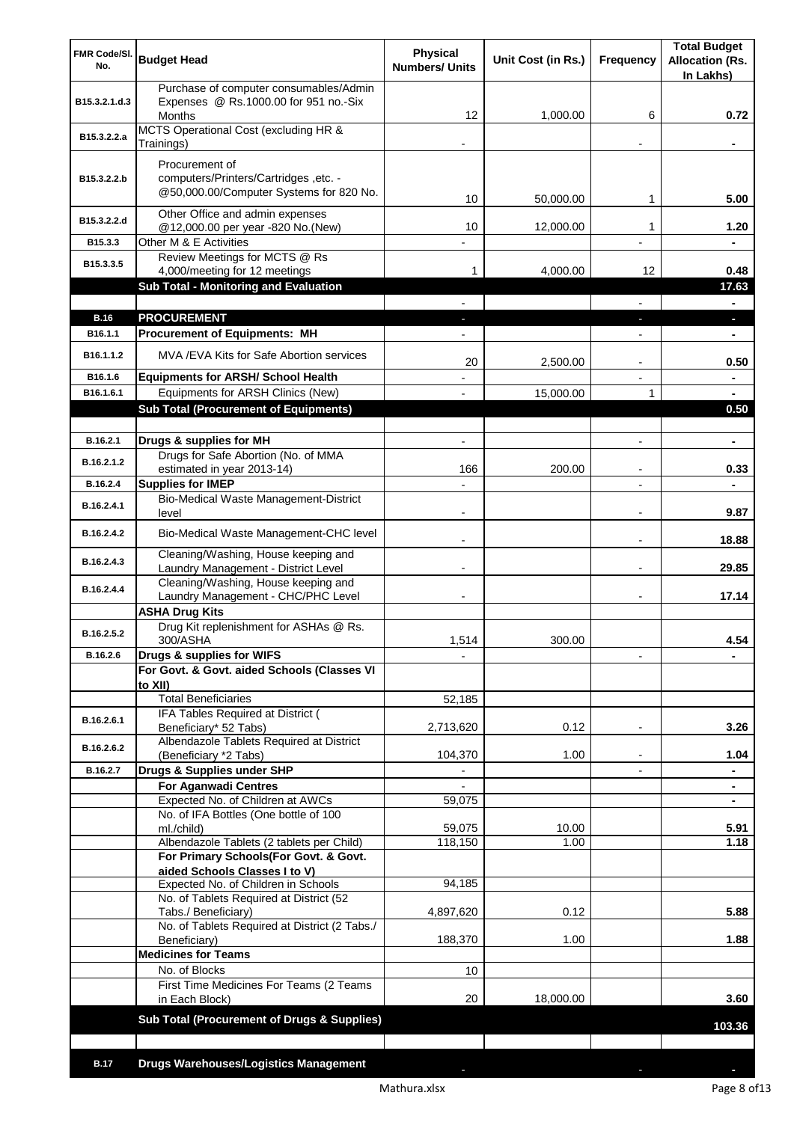| FMR Code/SI.<br>No.    | <b>Budget Head</b>                                                                               | <b>Physical</b><br><b>Numbers/ Units</b> | Unit Cost (in Rs.) | Frequency                | <b>Total Budget</b><br><b>Allocation (Rs.</b><br>In Lakhs) |
|------------------------|--------------------------------------------------------------------------------------------------|------------------------------------------|--------------------|--------------------------|------------------------------------------------------------|
| B15.3.2.1.d.3          | Purchase of computer consumables/Admin<br>Expenses @ Rs.1000.00 for 951 no.-Six<br><b>Months</b> | 12                                       | 1,000.00           | 6                        | 0.72                                                       |
| B15.3.2.2.a            | MCTS Operational Cost (excluding HR &<br>Trainings)                                              |                                          |                    |                          |                                                            |
|                        | Procurement of                                                                                   |                                          |                    |                          |                                                            |
| B15.3.2.2.b            | computers/Printers/Cartridges, etc. -<br>@50,000.00/Computer Systems for 820 No.                 |                                          |                    |                          |                                                            |
|                        | Other Office and admin expenses                                                                  | 10                                       | 50,000.00          | 1                        | 5.00                                                       |
| B15.3.2.2.d<br>B15.3.3 | @12,000.00 per year -820 No.(New)                                                                | 10                                       | 12,000.00          | 1                        | 1.20                                                       |
| B15.3.3.5              | Other M & E Activities<br>Review Meetings for MCTS @ Rs                                          |                                          |                    | $\overline{a}$           | $\blacksquare$                                             |
|                        | 4,000/meeting for 12 meetings<br><b>Sub Total - Monitoring and Evaluation</b>                    | 1.                                       | 4,000.00           | 12                       | 0.48<br>17.63                                              |
|                        |                                                                                                  |                                          |                    |                          | ٠                                                          |
| <b>B.16</b>            | <b>PROCUREMENT</b>                                                                               |                                          |                    |                          | ٠                                                          |
| B <sub>16.1.1</sub>    | <b>Procurement of Equipments: MH</b>                                                             |                                          |                    |                          |                                                            |
| B <sub>16.1.1.2</sub>  | MVA/EVA Kits for Safe Abortion services                                                          | 20                                       | 2,500.00           | $\overline{a}$           | 0.50                                                       |
| B16.1.6                | <b>Equipments for ARSH/ School Health</b>                                                        |                                          |                    |                          |                                                            |
| B16.1.6.1              | Equipments for ARSH Clinics (New)<br><b>Sub Total (Procurement of Equipments)</b>                |                                          | 15,000.00          | $\mathbf{1}$             | 0.50                                                       |
|                        |                                                                                                  |                                          |                    |                          |                                                            |
| B.16.2.1               | Drugs & supplies for MH                                                                          | $\overline{\phantom{a}}$                 |                    | $\overline{a}$           | ۰                                                          |
| B.16.2.1.2             | Drugs for Safe Abortion (No. of MMA<br>estimated in year 2013-14)                                | 166                                      | 200.00             |                          | 0.33                                                       |
| B.16.2.4               | <b>Supplies for IMEP</b>                                                                         |                                          |                    |                          |                                                            |
| B.16.2.4.1             | Bio-Medical Waste Management-District<br>level                                                   |                                          |                    | $\overline{a}$           | 9.87                                                       |
| B.16.2.4.2             | Bio-Medical Waste Management-CHC level                                                           |                                          |                    |                          | 18.88                                                      |
| B.16.2.4.3             | Cleaning/Washing, House keeping and<br>Laundry Management - District Level                       |                                          |                    |                          | 29.85                                                      |
| B.16.2.4.4             | Cleaning/Washing, House keeping and<br>Laundry Management - CHC/PHC Level                        |                                          |                    |                          | 17.14                                                      |
|                        | <b>ASHA Drug Kits</b>                                                                            |                                          |                    |                          |                                                            |
| B.16.2.5.2             | Drug Kit replenishment for ASHAs @ Rs.<br>300/ASHA                                               | 1,514                                    | 300.00             |                          | 4.54                                                       |
| B.16.2.6               | Drugs & supplies for WIFS                                                                        |                                          |                    |                          |                                                            |
|                        | For Govt. & Govt. aided Schools (Classes VI<br>to XII)                                           |                                          |                    |                          |                                                            |
|                        | <b>Total Beneficiaries</b>                                                                       | 52,185                                   |                    |                          |                                                            |
| B.16.2.6.1             | IFA Tables Required at District (<br>Beneficiary* 52 Tabs)                                       | 2,713,620                                | 0.12               | $\overline{a}$           | 3.26                                                       |
| B.16.2.6.2             | Albendazole Tablets Required at District<br>(Beneficiary *2 Tabs)                                | 104,370                                  | 1.00               | ٠                        | 1.04                                                       |
| B.16.2.7               | Drugs & Supplies under SHP                                                                       | $\overline{\phantom{a}}$                 |                    | $\overline{\phantom{0}}$ | $\blacksquare$                                             |
|                        | <b>For Aganwadi Centres</b>                                                                      |                                          |                    |                          | ٠                                                          |
|                        | Expected No. of Children at AWCs<br>No. of IFA Bottles (One bottle of 100                        | 59,075                                   |                    |                          | ٠                                                          |
|                        | ml./child)                                                                                       | 59,075                                   | 10.00              |                          | 5.91                                                       |
|                        | Albendazole Tablets (2 tablets per Child)                                                        | 118,150                                  | 1.00               |                          | 1.18                                                       |
|                        | For Primary Schools(For Govt. & Govt.<br>aided Schools Classes I to V)                           |                                          |                    |                          |                                                            |
|                        | Expected No. of Children in Schools                                                              | 94,185                                   |                    |                          |                                                            |
|                        | No. of Tablets Required at District (52                                                          |                                          |                    |                          |                                                            |
|                        | Tabs./ Beneficiary)<br>No. of Tablets Required at District (2 Tabs./                             | 4,897,620                                | 0.12               |                          | 5.88                                                       |
|                        | Beneficiary)                                                                                     | 188,370                                  | 1.00               |                          | 1.88                                                       |
|                        | <b>Medicines for Teams</b><br>No. of Blocks                                                      | 10                                       |                    |                          |                                                            |
|                        | First Time Medicines For Teams (2 Teams                                                          |                                          |                    |                          |                                                            |
|                        | in Each Block)                                                                                   | 20                                       | 18,000.00          |                          | 3.60                                                       |
|                        | Sub Total (Procurement of Drugs & Supplies)                                                      |                                          |                    |                          | 103.36                                                     |
|                        |                                                                                                  |                                          |                    |                          |                                                            |
| <b>B.17</b>            | <b>Drugs Warehouses/Logistics Management</b>                                                     |                                          |                    |                          |                                                            |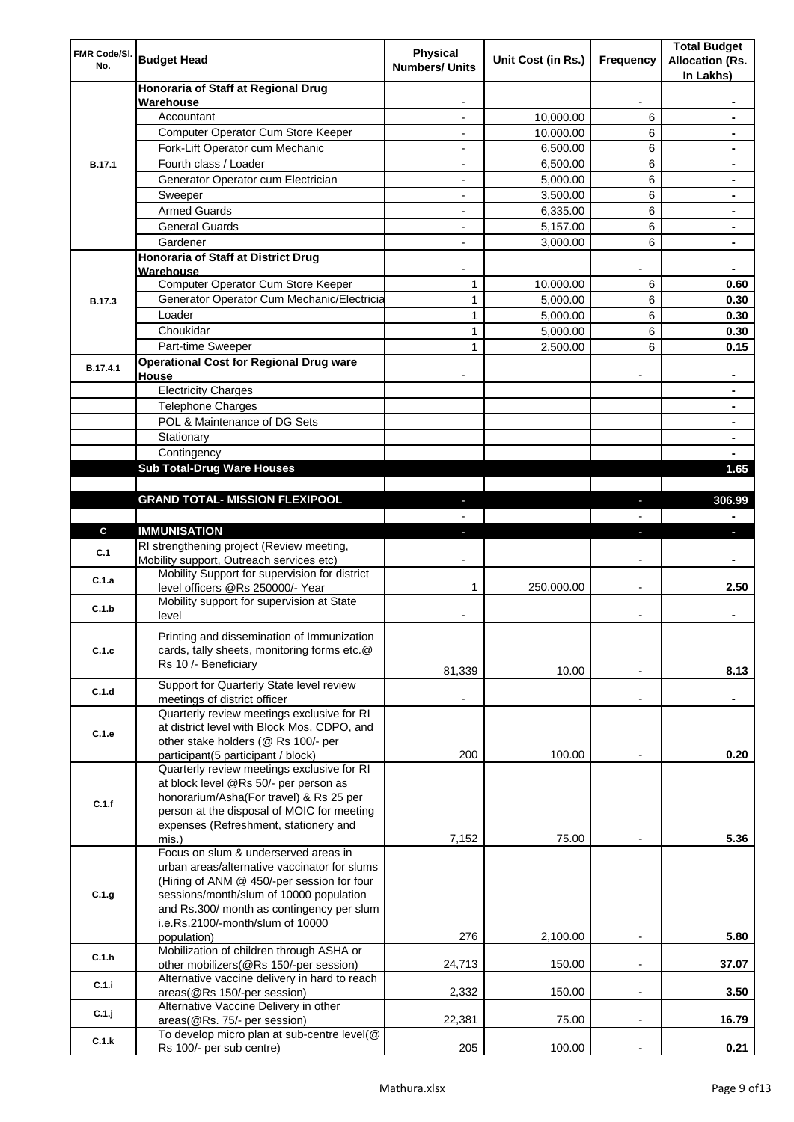| FMR Code/SI.<br>No. | <b>Budget Head</b>                                                                                                                                                                                                    | Physical<br><b>Numbers/ Units</b> | Unit Cost (in Rs.) | Frequency                | <b>Total Budget</b><br><b>Allocation (Rs.</b><br>In Lakhs) |
|---------------------|-----------------------------------------------------------------------------------------------------------------------------------------------------------------------------------------------------------------------|-----------------------------------|--------------------|--------------------------|------------------------------------------------------------|
|                     | Honoraria of Staff at Regional Drug                                                                                                                                                                                   |                                   |                    |                          |                                                            |
|                     | Warehouse<br>Accountant                                                                                                                                                                                               |                                   | 10,000.00          | 6                        |                                                            |
|                     | Computer Operator Cum Store Keeper                                                                                                                                                                                    |                                   | 10,000.00          | 6                        |                                                            |
|                     | Fork-Lift Operator cum Mechanic                                                                                                                                                                                       |                                   | 6,500.00           | 6                        |                                                            |
| <b>B.17.1</b>       | Fourth class / Loader                                                                                                                                                                                                 | $\overline{\phantom{0}}$          | 6,500.00           | 6                        |                                                            |
|                     | Generator Operator cum Electrician                                                                                                                                                                                    |                                   | 5,000.00           | 6                        |                                                            |
|                     | Sweeper                                                                                                                                                                                                               |                                   | 3,500.00           | 6                        |                                                            |
|                     | <b>Armed Guards</b>                                                                                                                                                                                                   | ٠                                 | 6,335.00           | 6                        |                                                            |
|                     | <b>General Guards</b>                                                                                                                                                                                                 | ٠                                 | 5,157.00           | 6                        | $\blacksquare$                                             |
|                     | Gardener                                                                                                                                                                                                              | $\overline{\phantom{0}}$          | 3,000.00           | 6                        | $\blacksquare$                                             |
|                     | Honoraria of Staff at District Drug<br>Warehouse                                                                                                                                                                      |                                   |                    |                          |                                                            |
|                     | Computer Operator Cum Store Keeper                                                                                                                                                                                    | 1                                 | 10,000.00          | 6                        | 0.60                                                       |
| <b>B.17.3</b>       | Generator Operator Cum Mechanic/Electricia                                                                                                                                                                            | 1                                 | 5,000.00           | 6                        | 0.30                                                       |
|                     | Loader                                                                                                                                                                                                                | 1                                 | 5,000.00           | 6                        | 0.30                                                       |
|                     | Choukidar                                                                                                                                                                                                             | 1                                 | 5,000.00           | 6                        | 0.30                                                       |
|                     | Part-time Sweeper                                                                                                                                                                                                     | $\mathbf{1}$                      | 2,500.00           | 6                        | 0.15                                                       |
| B.17.4.1            | <b>Operational Cost for Regional Drug ware</b><br>House                                                                                                                                                               |                                   |                    |                          |                                                            |
|                     | <b>Electricity Charges</b>                                                                                                                                                                                            |                                   |                    |                          |                                                            |
|                     | <b>Telephone Charges</b>                                                                                                                                                                                              |                                   |                    |                          |                                                            |
|                     | POL & Maintenance of DG Sets                                                                                                                                                                                          |                                   |                    |                          |                                                            |
|                     | Stationary                                                                                                                                                                                                            |                                   |                    |                          | $\blacksquare$                                             |
|                     | Contingency                                                                                                                                                                                                           |                                   |                    |                          |                                                            |
|                     | <b>Sub Total-Drug Ware Houses</b>                                                                                                                                                                                     |                                   |                    |                          | 1.65                                                       |
|                     |                                                                                                                                                                                                                       |                                   |                    |                          |                                                            |
|                     | <b>GRAND TOTAL- MISSION FLEXIPOOL</b>                                                                                                                                                                                 |                                   |                    |                          | 306.99                                                     |
|                     |                                                                                                                                                                                                                       |                                   |                    |                          |                                                            |
| $\mathbf{c}$        | <b>IMMUNISATION</b>                                                                                                                                                                                                   |                                   |                    |                          |                                                            |
| C.1                 | RI strengthening project (Review meeting,<br>Mobility support, Outreach services etc)                                                                                                                                 |                                   |                    |                          |                                                            |
| C.1.a               | Mobility Support for supervision for district<br>level officers @Rs 250000/- Year                                                                                                                                     | 1                                 | 250,000.00         |                          | 2.50                                                       |
| C.1.b               | Mobility support for supervision at State<br>level                                                                                                                                                                    |                                   |                    |                          |                                                            |
|                     | Printing and dissemination of Immunization                                                                                                                                                                            |                                   |                    |                          |                                                            |
| C.1.c               | cards, tally sheets, monitoring forms etc.@<br>Rs 10 /- Beneficiary                                                                                                                                                   |                                   |                    |                          |                                                            |
| C.1.d               | Support for Quarterly State level review                                                                                                                                                                              | 81,339                            | 10.00              |                          | 8.13                                                       |
|                     | meetings of district officer<br>Quarterly review meetings exclusive for RI                                                                                                                                            |                                   |                    |                          |                                                            |
| C.1.e               | at district level with Block Mos, CDPO, and<br>other stake holders (@ Rs 100/- per                                                                                                                                    |                                   |                    |                          |                                                            |
|                     | participant(5 participant / block)                                                                                                                                                                                    | 200                               | 100.00             |                          | 0.20                                                       |
| C.1.f               | Quarterly review meetings exclusive for RI<br>at block level @Rs 50/- per person as<br>honorarium/Asha(For travel) & Rs 25 per<br>person at the disposal of MOIC for meeting<br>expenses (Refreshment, stationery and |                                   |                    |                          |                                                            |
|                     | mis.)                                                                                                                                                                                                                 | 7,152                             | 75.00              |                          | 5.36                                                       |
| C.1.g               | Focus on slum & underserved areas in<br>urban areas/alternative vaccinator for slums<br>(Hiring of ANM @ 450/-per session for four                                                                                    |                                   |                    |                          |                                                            |
|                     | sessions/month/slum of 10000 population<br>and Rs.300/ month as contingency per slum<br>i.e.Rs.2100/-month/slum of 10000                                                                                              |                                   |                    |                          |                                                            |
|                     | population)                                                                                                                                                                                                           | 276                               | 2,100.00           | $\overline{\phantom{a}}$ | 5.80                                                       |
| C.1.h               | Mobilization of children through ASHA or<br>other mobilizers(@Rs 150/-per session)                                                                                                                                    | 24,713                            | 150.00             |                          | 37.07                                                      |
| C.1.i               | Alternative vaccine delivery in hard to reach<br>areas(@Rs 150/-per session)                                                                                                                                          | 2,332                             | 150.00             | $\overline{\phantom{a}}$ | 3.50                                                       |
| C.1.j               | Alternative Vaccine Delivery in other<br>areas(@Rs. 75/- per session)                                                                                                                                                 | 22,381                            | 75.00              |                          | 16.79                                                      |
| C.1.k               | To develop micro plan at sub-centre level(@<br>Rs 100/- per sub centre)                                                                                                                                               | 205                               | 100.00             |                          | 0.21                                                       |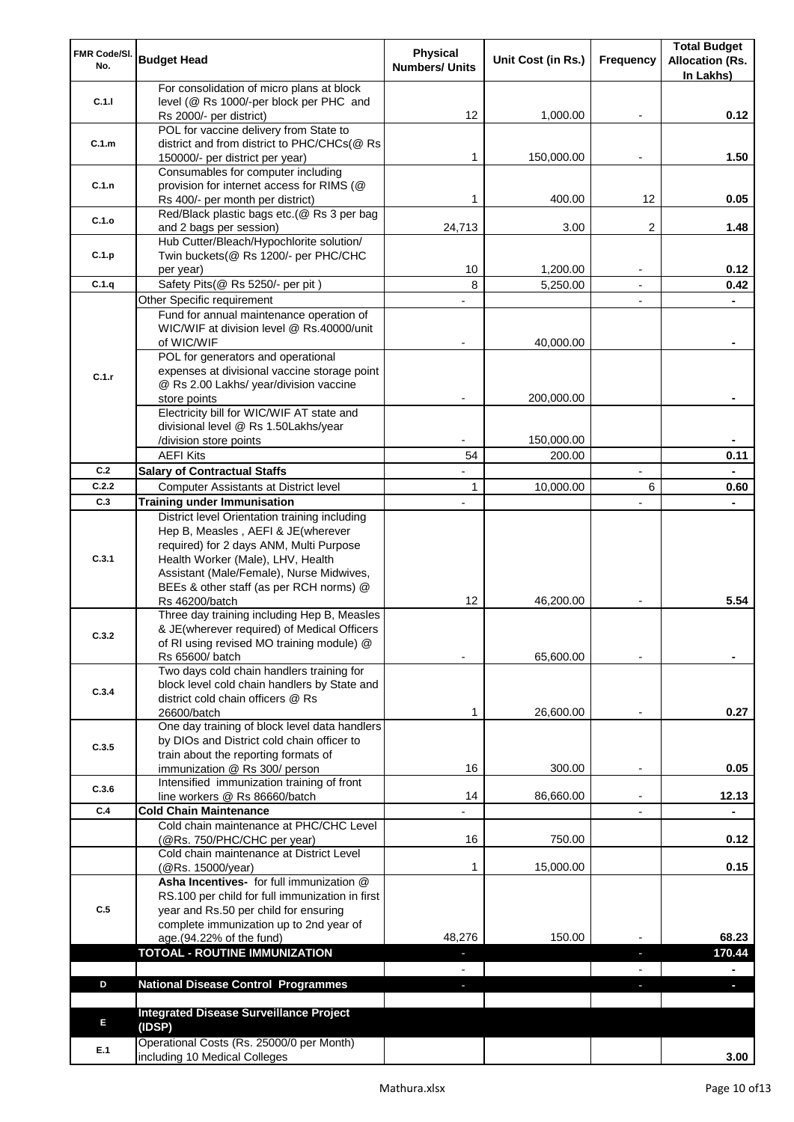| FMR Code/SI.<br>No.                                                                                 | <b>Budget Head</b>                                                            | Physical              | Unit Cost (in Rs.) | Frequency      | <b>Total Budget</b><br><b>Allocation (Rs.</b> |
|-----------------------------------------------------------------------------------------------------|-------------------------------------------------------------------------------|-----------------------|--------------------|----------------|-----------------------------------------------|
|                                                                                                     |                                                                               | <b>Numbers/ Units</b> |                    |                | In Lakhs)                                     |
|                                                                                                     | For consolidation of micro plans at block                                     |                       |                    |                |                                               |
|                                                                                                     | level (@ Rs 1000/-per block per PHC and                                       |                       |                    |                |                                               |
|                                                                                                     | Rs 2000/- per district)<br>POL for vaccine delivery from State to             | 12                    | 1,000.00           |                | 0.12                                          |
| C.1.m                                                                                               | district and from district to PHC/CHCs(@ Rs                                   |                       |                    |                |                                               |
|                                                                                                     | 150000/- per district per year)                                               | 1                     | 150,000.00         |                | 1.50                                          |
|                                                                                                     | Consumables for computer including                                            |                       |                    |                |                                               |
| C.1.n                                                                                               | provision for internet access for RIMS (@                                     |                       |                    |                |                                               |
|                                                                                                     | Rs 400/- per month per district)                                              | 1                     | 400.00             | 12             | 0.05                                          |
| C.1.o                                                                                               | Red/Black plastic bags etc.(@ Rs 3 per bag<br>and 2 bags per session)         | 24,713                | 3.00               | 2              | 1.48                                          |
|                                                                                                     | Hub Cutter/Bleach/Hypochlorite solution/                                      |                       |                    |                |                                               |
| C.1.p                                                                                               | Twin buckets(@ Rs 1200/- per PHC/CHC                                          |                       |                    |                |                                               |
|                                                                                                     | per year)                                                                     | 10                    | 1,200.00           |                | 0.12                                          |
|                                                                                                     | Safety Pits(@ Rs 5250/- per pit)                                              | 8                     | 5,250.00           | $\blacksquare$ | 0.42                                          |
|                                                                                                     | Other Specific requirement                                                    |                       |                    |                |                                               |
|                                                                                                     | Fund for annual maintenance operation of                                      |                       |                    |                |                                               |
|                                                                                                     | WIC/WIF at division level @ Rs.40000/unit<br>of WIC/WIF                       |                       | 40,000.00          |                |                                               |
|                                                                                                     | POL for generators and operational                                            |                       |                    |                |                                               |
|                                                                                                     | expenses at divisional vaccine storage point                                  |                       |                    |                |                                               |
|                                                                                                     | @ Rs 2.00 Lakhs/ year/division vaccine                                        |                       |                    |                |                                               |
|                                                                                                     | store points                                                                  |                       | 200,000.00         |                |                                               |
|                                                                                                     | Electricity bill for WIC/WIF AT state and                                     |                       |                    |                |                                               |
|                                                                                                     | divisional level @ Rs 1.50Lakhs/year<br>/division store points                |                       | 150,000.00         |                |                                               |
|                                                                                                     | <b>AEFI Kits</b>                                                              | 54                    | 200.00             |                | 0.11                                          |
| C.2                                                                                                 | <b>Salary of Contractual Staffs</b>                                           |                       |                    |                |                                               |
| C.2.2                                                                                               | Computer Assistants at District level                                         | 1                     | 10,000.00          | 6              | 0.60                                          |
| C.3                                                                                                 | <b>Training under Immunisation</b>                                            |                       |                    |                |                                               |
|                                                                                                     | District level Orientation training including                                 |                       |                    |                |                                               |
|                                                                                                     | Hep B, Measles, AEFI & JE(wherever                                            |                       |                    |                |                                               |
|                                                                                                     | required) for 2 days ANM, Multi Purpose                                       |                       |                    |                |                                               |
|                                                                                                     | Health Worker (Male), LHV, Health<br>Assistant (Male/Female), Nurse Midwives, |                       |                    |                |                                               |
|                                                                                                     | BEEs & other staff (as per RCH norms) @                                       |                       |                    |                |                                               |
|                                                                                                     | Rs 46200/batch                                                                | 12                    | 46,200.00          |                | 5.54                                          |
|                                                                                                     | Three day training including Hep B, Measles                                   |                       |                    |                |                                               |
|                                                                                                     | & JE(wherever required) of Medical Officers                                   |                       |                    |                |                                               |
|                                                                                                     | of RI using revised MO training module) @                                     |                       |                    |                |                                               |
|                                                                                                     | Rs 65600/ batch<br>Two days cold chain handlers training for                  |                       | 65,600.00          |                |                                               |
|                                                                                                     | block level cold chain handlers by State and                                  |                       |                    |                |                                               |
|                                                                                                     | district cold chain officers @ Rs                                             |                       |                    |                |                                               |
| C.1.1<br>C.1.q<br>C.1.r<br>C.3.1<br>C.3.2<br>C.3.4<br>C.3.5<br>C.3.6<br>C.4<br>C.5<br>D<br>E<br>E.1 | 26600/batch                                                                   | 1                     | 26,600.00          |                | 0.27                                          |
|                                                                                                     | One day training of block level data handlers                                 |                       |                    |                |                                               |
|                                                                                                     | by DIOs and District cold chain officer to                                    |                       |                    |                |                                               |
|                                                                                                     | train about the reporting formats of<br>immunization @ Rs 300/ person         | 16                    | 300.00             |                | 0.05                                          |
|                                                                                                     | Intensified immunization training of front                                    |                       |                    |                |                                               |
|                                                                                                     | line workers @ Rs 86660/batch                                                 | 14                    | 86,660.00          |                | 12.13                                         |
|                                                                                                     | <b>Cold Chain Maintenance</b>                                                 |                       |                    |                |                                               |
|                                                                                                     | Cold chain maintenance at PHC/CHC Level                                       |                       |                    |                |                                               |
|                                                                                                     | (@Rs. 750/PHC/CHC per year)                                                   | 16                    | 750.00             |                | 0.12                                          |
|                                                                                                     | Cold chain maintenance at District Level<br>(@Rs. 15000/year)                 | 1                     | 15,000.00          |                | 0.15                                          |
|                                                                                                     | Asha Incentives- for full immunization @                                      |                       |                    |                |                                               |
|                                                                                                     | RS.100 per child for full immunization in first                               |                       |                    |                |                                               |
|                                                                                                     | year and Rs.50 per child for ensuring                                         |                       |                    |                |                                               |
|                                                                                                     | complete immunization up to 2nd year of                                       |                       |                    |                |                                               |
|                                                                                                     | age.(94.22% of the fund)                                                      | 48,276                | 150.00             |                | 68.23                                         |
|                                                                                                     | <b>TOTOAL - ROUTINE IMMUNIZATION</b>                                          | ٠                     |                    | ٠              | 170.44                                        |
|                                                                                                     | <b>National Disease Control Programmes</b>                                    |                       |                    |                |                                               |
|                                                                                                     |                                                                               | ٠                     |                    | ÷.             | ÷.                                            |
|                                                                                                     | <b>Integrated Disease Surveillance Project</b>                                |                       |                    |                |                                               |
|                                                                                                     | (IDSP)                                                                        |                       |                    |                |                                               |
|                                                                                                     | Operational Costs (Rs. 25000/0 per Month)                                     |                       |                    |                |                                               |
|                                                                                                     | including 10 Medical Colleges                                                 |                       |                    |                | 3.00                                          |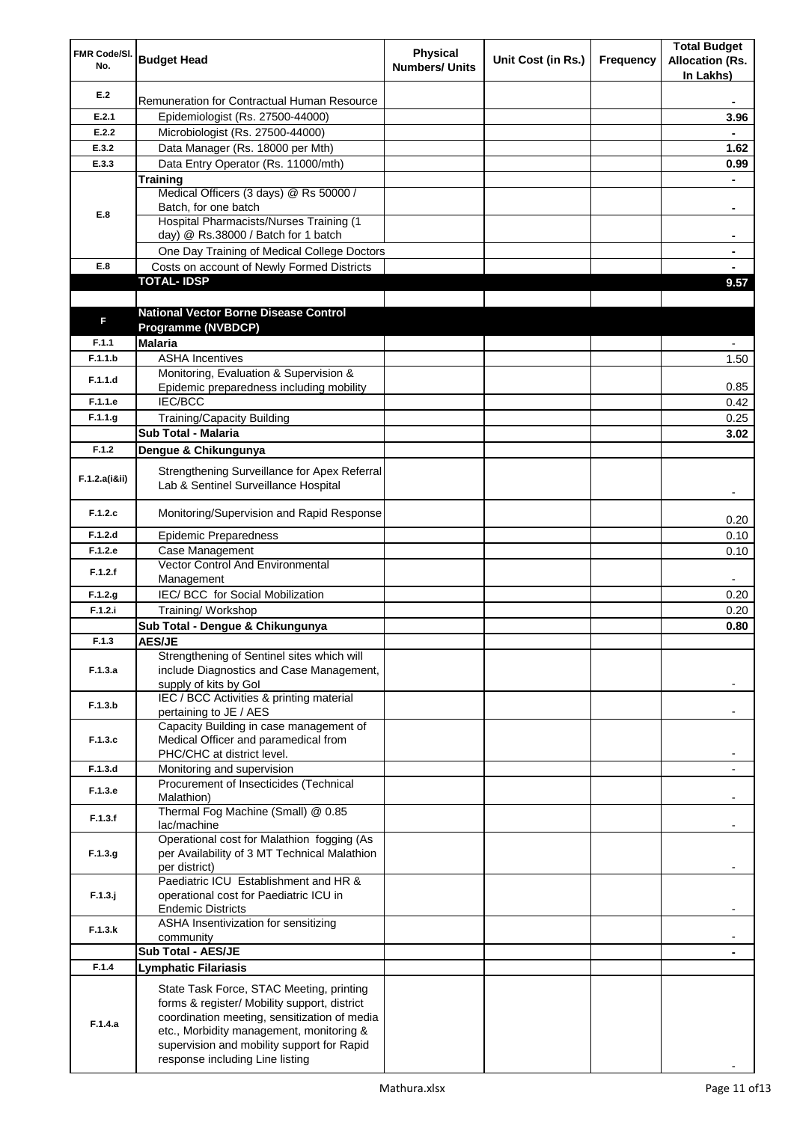| FMR Code/SI.<br>No. | <b>Budget Head</b>                                                                                                                                                                                                                                                    | <b>Physical</b><br><b>Numbers/ Units</b> | Unit Cost (in Rs.) | Frequency | <b>Total Budget</b><br><b>Allocation (Rs.</b><br>In Lakhs) |
|---------------------|-----------------------------------------------------------------------------------------------------------------------------------------------------------------------------------------------------------------------------------------------------------------------|------------------------------------------|--------------------|-----------|------------------------------------------------------------|
| E.2                 | Remuneration for Contractual Human Resource                                                                                                                                                                                                                           |                                          |                    |           |                                                            |
| E.2.1               | Epidemiologist (Rs. 27500-44000)                                                                                                                                                                                                                                      |                                          |                    |           | 3.96                                                       |
| E.2.2               | Microbiologist (Rs. 27500-44000)                                                                                                                                                                                                                                      |                                          |                    |           |                                                            |
| E.3.2               | Data Manager (Rs. 18000 per Mth)                                                                                                                                                                                                                                      |                                          |                    |           | 1.62                                                       |
| E.3.3               | Data Entry Operator (Rs. 11000/mth)                                                                                                                                                                                                                                   |                                          |                    |           | 0.99                                                       |
|                     | Training                                                                                                                                                                                                                                                              |                                          |                    |           |                                                            |
|                     | Medical Officers (3 days) @ Rs 50000 /                                                                                                                                                                                                                                |                                          |                    |           |                                                            |
| E.8                 | Batch, for one batch                                                                                                                                                                                                                                                  |                                          |                    |           | ۰                                                          |
|                     | Hospital Pharmacists/Nurses Training (1<br>day) @ Rs.38000 / Batch for 1 batch                                                                                                                                                                                        |                                          |                    |           | ۰                                                          |
|                     | One Day Training of Medical College Doctors                                                                                                                                                                                                                           |                                          |                    |           |                                                            |
| E.8                 | Costs on account of Newly Formed Districts                                                                                                                                                                                                                            |                                          |                    |           |                                                            |
|                     | <b>TOTAL-IDSP</b>                                                                                                                                                                                                                                                     |                                          |                    |           | 9.57                                                       |
|                     |                                                                                                                                                                                                                                                                       |                                          |                    |           |                                                            |
|                     | <b>National Vector Borne Disease Control</b>                                                                                                                                                                                                                          |                                          |                    |           |                                                            |
| F                   | Programme (NVBDCP)                                                                                                                                                                                                                                                    |                                          |                    |           |                                                            |
| F.1.1               | <b>Malaria</b>                                                                                                                                                                                                                                                        |                                          |                    |           |                                                            |
| F.1.1.b             | <b>ASHA Incentives</b>                                                                                                                                                                                                                                                |                                          |                    |           | 1.50                                                       |
|                     | Monitoring, Evaluation & Supervision &                                                                                                                                                                                                                                |                                          |                    |           |                                                            |
| F.1.1.d             | Epidemic preparedness including mobility                                                                                                                                                                                                                              |                                          |                    |           | 0.85                                                       |
| F.1.1.e             | IEC/BCC                                                                                                                                                                                                                                                               |                                          |                    |           | 0.42                                                       |
| F.1.1.g             | <b>Training/Capacity Building</b>                                                                                                                                                                                                                                     |                                          |                    |           | 0.25                                                       |
|                     | <b>Sub Total - Malaria</b>                                                                                                                                                                                                                                            |                                          |                    |           | 3.02                                                       |
| F.1.2               | Dengue & Chikungunya                                                                                                                                                                                                                                                  |                                          |                    |           |                                                            |
| F.1.2.a(iⅈ)         | Strengthening Surveillance for Apex Referral<br>Lab & Sentinel Surveillance Hospital                                                                                                                                                                                  |                                          |                    |           |                                                            |
| F.1.2.c             | Monitoring/Supervision and Rapid Response                                                                                                                                                                                                                             |                                          |                    |           | 0.20                                                       |
| F.1.2.d             | <b>Epidemic Preparedness</b>                                                                                                                                                                                                                                          |                                          |                    |           | 0.10                                                       |
| F.1.2.e             | Case Management                                                                                                                                                                                                                                                       |                                          |                    |           | 0.10                                                       |
| F.1.2.f             | Vector Control And Environmental                                                                                                                                                                                                                                      |                                          |                    |           |                                                            |
|                     | Management                                                                                                                                                                                                                                                            |                                          |                    |           |                                                            |
| F.1.2.g             | IEC/ BCC for Social Mobilization                                                                                                                                                                                                                                      |                                          |                    |           | 0.20                                                       |
| F.1.2.i             | Training/ Workshop                                                                                                                                                                                                                                                    |                                          |                    |           | 0.20                                                       |
|                     | Sub Total - Dengue & Chikungunya                                                                                                                                                                                                                                      |                                          |                    |           | 0.80                                                       |
| F.1.3               | <b>AES/JE</b>                                                                                                                                                                                                                                                         |                                          |                    |           |                                                            |
| F.1.3.a             | Strengthening of Sentinel sites which will<br>include Diagnostics and Case Management,<br>supply of kits by Gol                                                                                                                                                       |                                          |                    |           |                                                            |
| F.1.3.b             | IEC / BCC Activities & printing material<br>pertaining to JE / AES                                                                                                                                                                                                    |                                          |                    |           |                                                            |
|                     | Capacity Building in case management of                                                                                                                                                                                                                               |                                          |                    |           |                                                            |
| F.1.3.c             | Medical Officer and paramedical from                                                                                                                                                                                                                                  |                                          |                    |           |                                                            |
| F.1.3.d             | PHC/CHC at district level.                                                                                                                                                                                                                                            |                                          |                    |           |                                                            |
|                     | Monitoring and supervision<br>Procurement of Insecticides (Technical                                                                                                                                                                                                  |                                          |                    |           | ٠                                                          |
| F.1.3.e             | Malathion)                                                                                                                                                                                                                                                            |                                          |                    |           |                                                            |
| F.1.3.f             | Thermal Fog Machine (Small) @ 0.85<br>lac/machine                                                                                                                                                                                                                     |                                          |                    |           |                                                            |
| F.1.3.g             | Operational cost for Malathion fogging (As<br>per Availability of 3 MT Technical Malathion<br>per district)                                                                                                                                                           |                                          |                    |           |                                                            |
| $F.1.3.$ j          | Paediatric ICU Establishment and HR &<br>operational cost for Paediatric ICU in<br><b>Endemic Districts</b>                                                                                                                                                           |                                          |                    |           |                                                            |
| F.1.3.k             | ASHA Insentivization for sensitizing<br>community                                                                                                                                                                                                                     |                                          |                    |           |                                                            |
|                     | Sub Total - AES/JE                                                                                                                                                                                                                                                    |                                          |                    |           |                                                            |
| F.1.4               | <b>Lymphatic Filariasis</b>                                                                                                                                                                                                                                           |                                          |                    |           |                                                            |
| F.1.4.a             | State Task Force, STAC Meeting, printing<br>forms & register/ Mobility support, district<br>coordination meeting, sensitization of media<br>etc., Morbidity management, monitoring &<br>supervision and mobility support for Rapid<br>response including Line listing |                                          |                    |           |                                                            |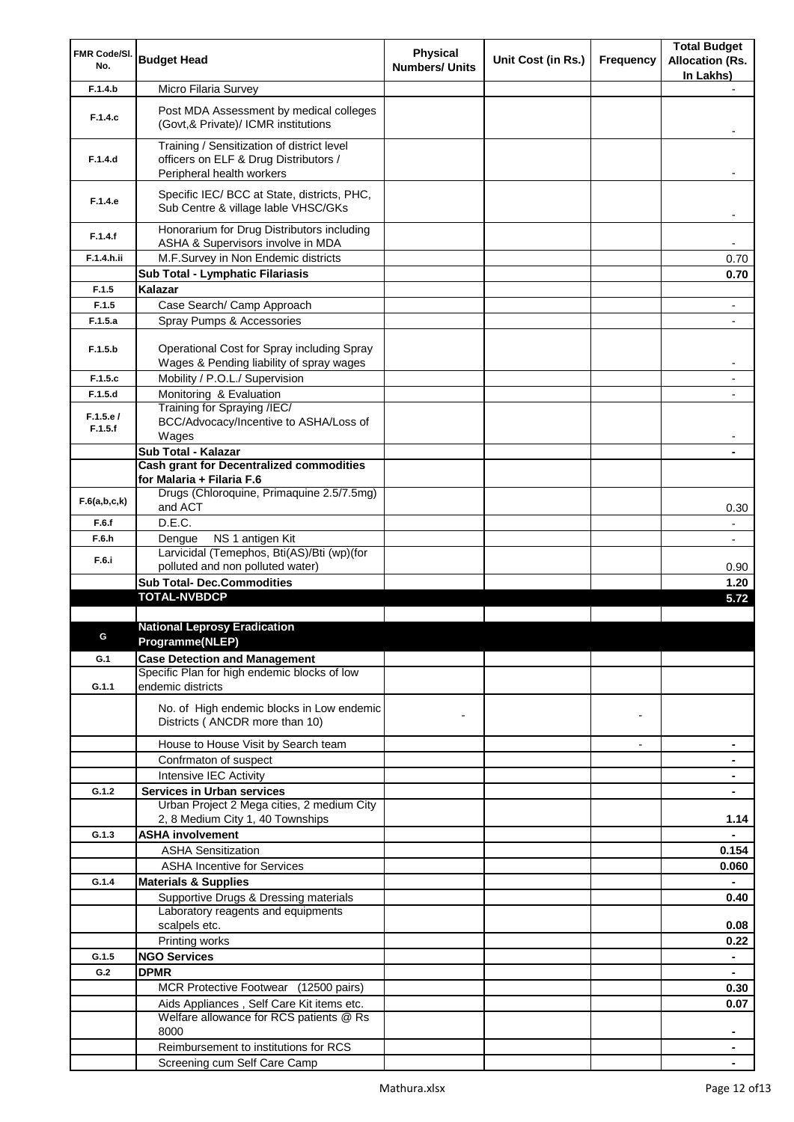| FMR Code/SI.        |                                                                                                                  | <b>Physical</b>       |                    |                          | <b>Total Budget</b>      |
|---------------------|------------------------------------------------------------------------------------------------------------------|-----------------------|--------------------|--------------------------|--------------------------|
| No.                 | <b>Budget Head</b>                                                                                               | <b>Numbers/ Units</b> | Unit Cost (in Rs.) | Frequency                | <b>Allocation (Rs.</b>   |
|                     |                                                                                                                  |                       |                    |                          | In Lakhs)                |
| F.1.4.b             | Micro Filaria Survey                                                                                             |                       |                    |                          |                          |
| F.1.4.c             | Post MDA Assessment by medical colleges<br>(Govt, & Private)/ ICMR institutions                                  |                       |                    |                          |                          |
| F.1.4.d             | Training / Sensitization of district level<br>officers on ELF & Drug Distributors /<br>Peripheral health workers |                       |                    |                          |                          |
| F.1.4.e             | Specific IEC/ BCC at State, districts, PHC,<br>Sub Centre & village lable VHSC/GKs                               |                       |                    |                          |                          |
| F.1.4.f             | Honorarium for Drug Distributors including<br>ASHA & Supervisors involve in MDA                                  |                       |                    |                          | $\blacksquare$           |
| F.1.4.h.ii          | M.F.Survey in Non Endemic districts                                                                              |                       |                    |                          | 0.70                     |
|                     | Sub Total - Lymphatic Filariasis                                                                                 |                       |                    |                          | 0.70                     |
| F.1.5               | Kalazar                                                                                                          |                       |                    |                          |                          |
| F.1.5               | Case Search/ Camp Approach                                                                                       |                       |                    |                          | $\overline{\phantom{a}}$ |
| F.1.5.a             | Spray Pumps & Accessories                                                                                        |                       |                    |                          |                          |
| F.1.5.b             | Operational Cost for Spray including Spray<br>Wages & Pending liability of spray wages                           |                       |                    |                          | $\blacksquare$           |
| F.1.5.c             | Mobility / P.O.L./ Supervision                                                                                   |                       |                    |                          | $\overline{\phantom{a}}$ |
| F.1.5.d             | Monitoring & Evaluation                                                                                          |                       |                    |                          |                          |
| F.1.5.e/<br>F.1.5.f | Training for Spraying /IEC/<br>BCC/Advocacy/Incentive to ASHA/Loss of<br>Wages                                   |                       |                    |                          |                          |
|                     | Sub Total - Kalazar                                                                                              |                       |                    |                          |                          |
|                     | <b>Cash grant for Decentralized commodities</b>                                                                  |                       |                    |                          |                          |
|                     | for Malaria + Filaria F.6                                                                                        |                       |                    |                          |                          |
| F.6(a,b,c,k)        | Drugs (Chloroquine, Primaquine 2.5/7.5mg)<br>and ACT                                                             |                       |                    |                          | 0.30                     |
| F.6.f               | D.E.C.                                                                                                           |                       |                    |                          | $\blacksquare$           |
| F.6.h               | Dengue<br>NS 1 antigen Kit                                                                                       |                       |                    |                          | $\blacksquare$           |
| F.6.i               | Larvicidal (Temephos, Bti(AS)/Bti (wp)(for                                                                       |                       |                    |                          |                          |
|                     | polluted and non polluted water)                                                                                 |                       |                    |                          | 0.90                     |
|                     | <b>Sub Total- Dec.Commodities</b>                                                                                |                       |                    |                          | 1.20                     |
|                     | <b>TOTAL-NVBDCP</b>                                                                                              |                       |                    |                          | 5.72                     |
|                     | <b>National Leprosy Eradication</b>                                                                              |                       |                    |                          |                          |
|                     | Programme(NLEP)                                                                                                  |                       |                    |                          |                          |
|                     | <b>Case Detection and Management</b>                                                                             |                       |                    |                          |                          |
| G.1                 | Specific Plan for high endemic blocks of low                                                                     |                       |                    |                          |                          |
| G.1.1               | endemic districts                                                                                                |                       |                    |                          |                          |
|                     | No. of High endemic blocks in Low endemic<br>Districts (ANCDR more than 10)                                      |                       |                    |                          |                          |
|                     | House to House Visit by Search team                                                                              |                       |                    | $\overline{\phantom{a}}$ | ٠                        |
|                     | Confrmaton of suspect                                                                                            |                       |                    |                          |                          |
|                     | Intensive IEC Activity                                                                                           |                       |                    |                          |                          |
| G.1.2               | <b>Services in Urban services</b>                                                                                |                       |                    |                          |                          |
|                     | Urban Project 2 Mega cities, 2 medium City                                                                       |                       |                    |                          |                          |
|                     | 2, 8 Medium City 1, 40 Townships                                                                                 |                       |                    |                          | 1.14                     |
| G.1.3               | <b>ASHA involvement</b>                                                                                          |                       |                    |                          | $\blacksquare$           |
|                     | <b>ASHA Sensitization</b>                                                                                        |                       |                    |                          | 0.154                    |
|                     | <b>ASHA Incentive for Services</b>                                                                               |                       |                    |                          | 0.060                    |
| G.1.4               | <b>Materials &amp; Supplies</b>                                                                                  |                       |                    |                          | $\blacksquare$           |
|                     | Supportive Drugs & Dressing materials                                                                            |                       |                    |                          | 0.40                     |
|                     | Laboratory reagents and equipments                                                                               |                       |                    |                          |                          |
|                     | scalpels etc.                                                                                                    |                       |                    |                          | 0.08                     |
|                     | Printing works                                                                                                   |                       |                    |                          | 0.22                     |
| G.1.5               | <b>NGO Services</b>                                                                                              |                       |                    |                          | $\blacksquare$           |
| G.2                 | <b>DPMR</b>                                                                                                      |                       |                    |                          |                          |
|                     | MCR Protective Footwear (12500 pairs)                                                                            |                       |                    |                          | 0.30                     |
|                     | Aids Appliances, Self Care Kit items etc.                                                                        |                       |                    |                          | 0.07                     |
|                     | Welfare allowance for RCS patients @ Rs<br>8000                                                                  |                       |                    |                          |                          |
|                     | Reimbursement to institutions for RCS                                                                            |                       |                    |                          | ٠                        |
|                     | Screening cum Self Care Camp                                                                                     |                       |                    |                          |                          |
|                     |                                                                                                                  |                       |                    |                          |                          |